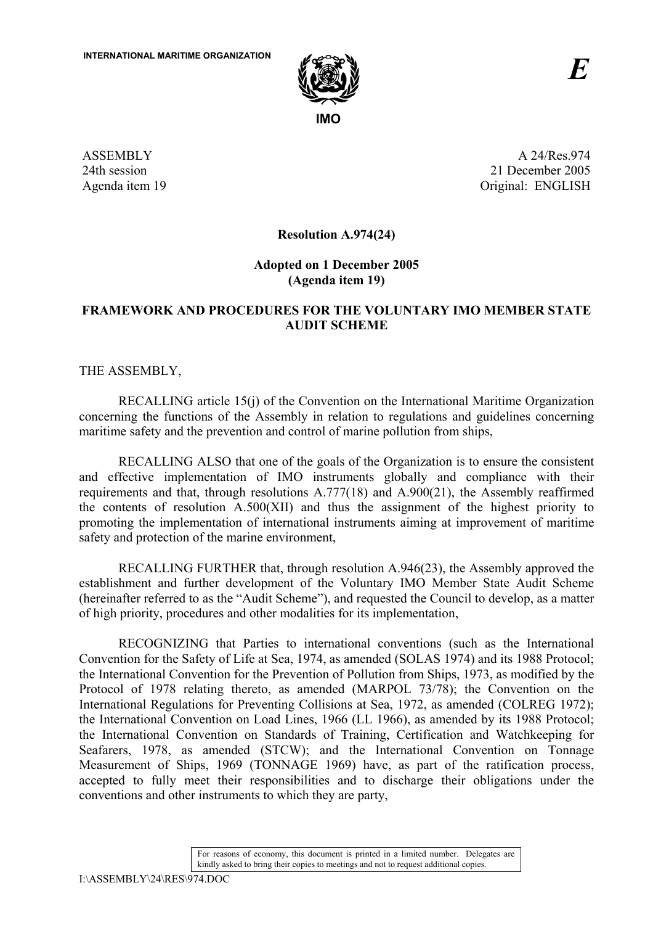

ASSEMBLY 24th session Agenda item 19

A 24/Res.974 21 December 2005 Original: ENGLISH

**Resolution A.974(24)** 

**Adopted on 1 December 2005 (Agenda item 19)** 

#### **FRAMEWORK AND PROCEDURES FOR THE VOLUNTARY IMO MEMBER STATE AUDIT SCHEME**

THE ASSEMBLY,

RECALLING article 15(j) of the Convention on the International Maritime Organization concerning the functions of the Assembly in relation to regulations and guidelines concerning maritime safety and the prevention and control of marine pollution from ships,

RECALLING ALSO that one of the goals of the Organization is to ensure the consistent and effective implementation of IMO instruments globally and compliance with their requirements and that, through resolutions A.777(18) and A.900(21), the Assembly reaffirmed the contents of resolution A.500(XII) and thus the assignment of the highest priority to promoting the implementation of international instruments aiming at improvement of maritime safety and protection of the marine environment,

RECALLING FURTHER that, through resolution A.946(23), the Assembly approved the establishment and further development of the Voluntary IMO Member State Audit Scheme (hereinafter referred to as the "Audit Scheme"), and requested the Council to develop, as a matter of high priority, procedures and other modalities for its implementation,

RECOGNIZING that Parties to international conventions (such as the International Convention for the Safety of Life at Sea, 1974, as amended (SOLAS 1974) and its 1988 Protocol; the International Convention for the Prevention of Pollution from Ships, 1973, as modified by the Protocol of 1978 relating thereto, as amended (MARPOL 73/78); the Convention on the International Regulations for Preventing Collisions at Sea, 1972, as amended (COLREG 1972); the International Convention on Load Lines, 1966 (LL 1966), as amended by its 1988 Protocol; the International Convention on Standards of Training, Certification and Watchkeeping for Seafarers, 1978, as amended (STCW); and the International Convention on Tonnage Measurement of Ships, 1969 (TONNAGE 1969) have, as part of the ratification process, accepted to fully meet their responsibilities and to discharge their obligations under the conventions and other instruments to which they are party,

> For reasons of economy, this document is printed in a limited number. Delegates are kindly asked to bring their copies to meetings and not to request additional copies.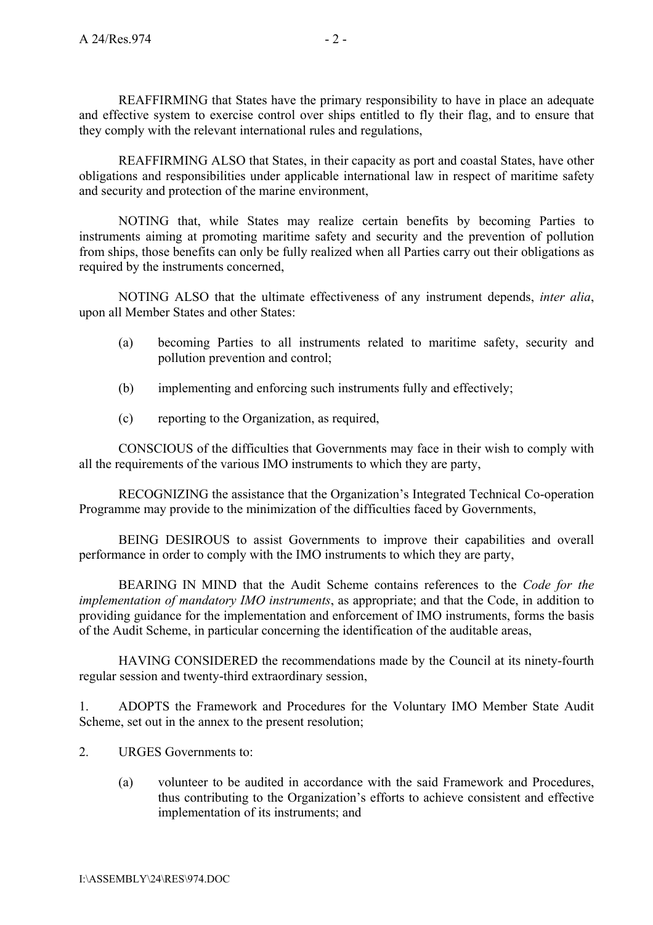REAFFIRMING that States have the primary responsibility to have in place an adequate and effective system to exercise control over ships entitled to fly their flag, and to ensure that they comply with the relevant international rules and regulations,

REAFFIRMING ALSO that States, in their capacity as port and coastal States, have other obligations and responsibilities under applicable international law in respect of maritime safety and security and protection of the marine environment,

NOTING that, while States may realize certain benefits by becoming Parties to instruments aiming at promoting maritime safety and security and the prevention of pollution from ships, those benefits can only be fully realized when all Parties carry out their obligations as required by the instruments concerned,

NOTING ALSO that the ultimate effectiveness of any instrument depends, *inter alia*, upon all Member States and other States:

- (a) becoming Parties to all instruments related to maritime safety, security and pollution prevention and control;
- (b) implementing and enforcing such instruments fully and effectively;
- (c) reporting to the Organization, as required,

CONSCIOUS of the difficulties that Governments may face in their wish to comply with all the requirements of the various IMO instruments to which they are party,

RECOGNIZING the assistance that the Organization's Integrated Technical Co-operation Programme may provide to the minimization of the difficulties faced by Governments,

BEING DESIROUS to assist Governments to improve their capabilities and overall performance in order to comply with the IMO instruments to which they are party,

BEARING IN MIND that the Audit Scheme contains references to the *Code for the implementation of mandatory IMO instruments*, as appropriate; and that the Code, in addition to providing guidance for the implementation and enforcement of IMO instruments, forms the basis of the Audit Scheme, in particular concerning the identification of the auditable areas,

HAVING CONSIDERED the recommendations made by the Council at its ninety-fourth regular session and twenty-third extraordinary session,

1. ADOPTS the Framework and Procedures for the Voluntary IMO Member State Audit Scheme, set out in the annex to the present resolution;

- 2. URGES Governments to:
	- (a) volunteer to be audited in accordance with the said Framework and Procedures, thus contributing to the Organization's efforts to achieve consistent and effective implementation of its instruments; and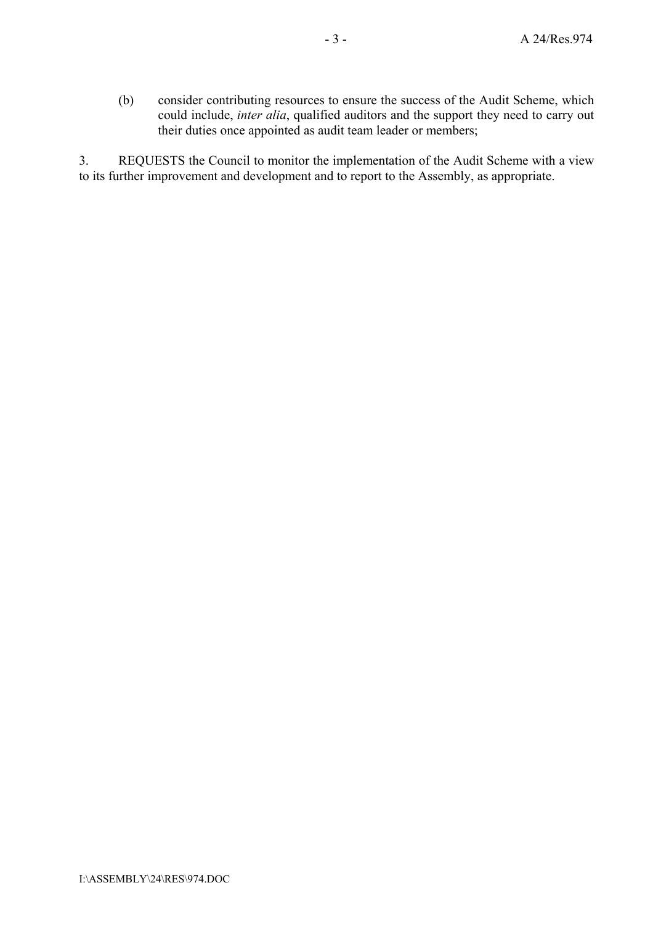(b) consider contributing resources to ensure the success of the Audit Scheme, which could include, *inter alia*, qualified auditors and the support they need to carry out their duties once appointed as audit team leader or members;

3. REQUESTS the Council to monitor the implementation of the Audit Scheme with a view to its further improvement and development and to report to the Assembly, as appropriate.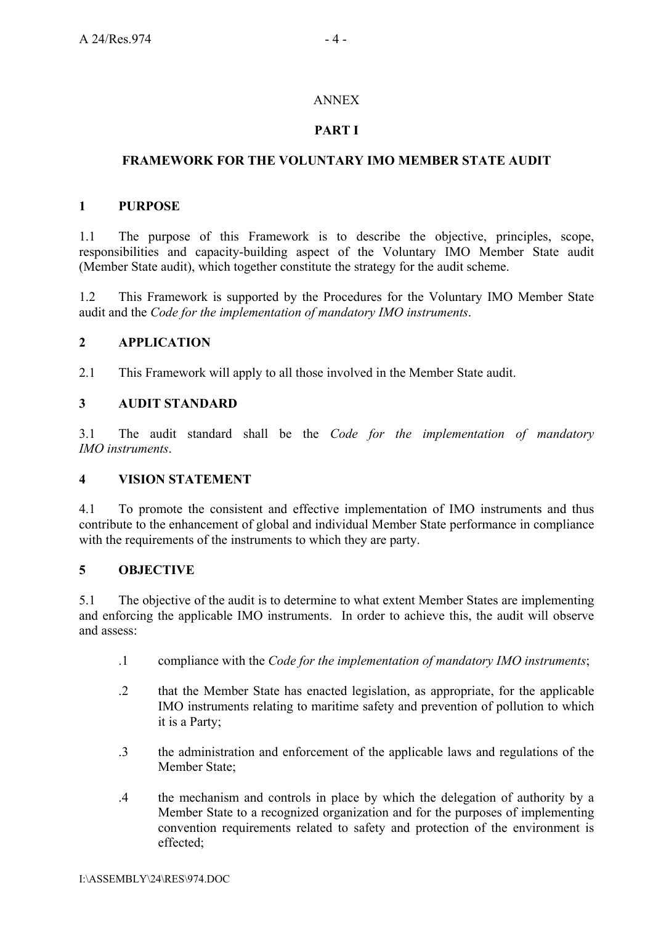## ANNEX

## **PART I**

## **FRAMEWORK FOR THE VOLUNTARY IMO MEMBER STATE AUDIT**

## **1 PURPOSE**

1.1 The purpose of this Framework is to describe the objective, principles, scope, responsibilities and capacity-building aspect of the Voluntary IMO Member State audit (Member State audit), which together constitute the strategy for the audit scheme.

1.2 This Framework is supported by the Procedures for the Voluntary IMO Member State audit and the *Code for the implementation of mandatory IMO instruments*.

## **2 APPLICATION**

2.1 This Framework will apply to all those involved in the Member State audit.

#### **3 AUDIT STANDARD**

3.1 The audit standard shall be the *Code for the implementation of mandatory IMO instruments*.

#### **4 VISION STATEMENT**

4.1 To promote the consistent and effective implementation of IMO instruments and thus contribute to the enhancement of global and individual Member State performance in compliance with the requirements of the instruments to which they are party.

## **5 OBJECTIVE**

5.1 The objective of the audit is to determine to what extent Member States are implementing and enforcing the applicable IMO instruments. In order to achieve this, the audit will observe and assess:

- .1 compliance with the *Code for the implementation of mandatory IMO instruments*;
- .2 that the Member State has enacted legislation, as appropriate, for the applicable IMO instruments relating to maritime safety and prevention of pollution to which it is a Party;
- .3 the administration and enforcement of the applicable laws and regulations of the Member State;
- .4 the mechanism and controls in place by which the delegation of authority by a Member State to a recognized organization and for the purposes of implementing convention requirements related to safety and protection of the environment is effected;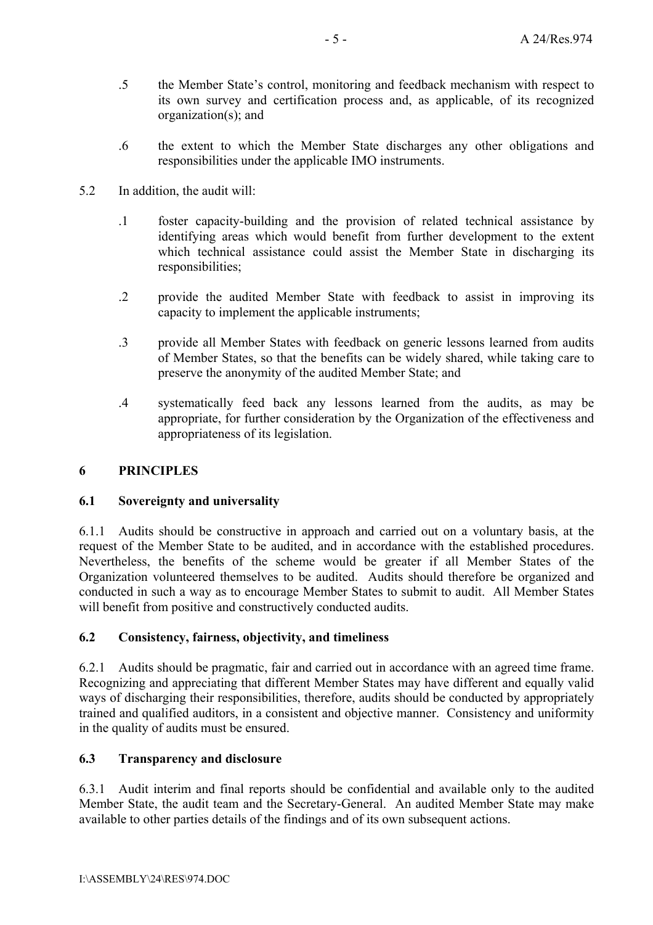- .5 the Member State's control, monitoring and feedback mechanism with respect to its own survey and certification process and, as applicable, of its recognized organization(s); and
- .6 the extent to which the Member State discharges any other obligations and responsibilities under the applicable IMO instruments.
- 5.2 In addition, the audit will:
	- .1 foster capacity-building and the provision of related technical assistance by identifying areas which would benefit from further development to the extent which technical assistance could assist the Member State in discharging its responsibilities;
	- .2 provide the audited Member State with feedback to assist in improving its capacity to implement the applicable instruments;
	- .3 provide all Member States with feedback on generic lessons learned from audits of Member States, so that the benefits can be widely shared, while taking care to preserve the anonymity of the audited Member State; and
	- .4 systematically feed back any lessons learned from the audits, as may be appropriate, for further consideration by the Organization of the effectiveness and appropriateness of its legislation.

#### **6 PRINCIPLES**

#### **6.1 Sovereignty and universality**

6.1.1 Audits should be constructive in approach and carried out on a voluntary basis, at the request of the Member State to be audited, and in accordance with the established procedures. Nevertheless, the benefits of the scheme would be greater if all Member States of the Organization volunteered themselves to be audited. Audits should therefore be organized and conducted in such a way as to encourage Member States to submit to audit. All Member States will benefit from positive and constructively conducted audits.

#### **6.2 Consistency, fairness, objectivity, and timeliness**

6.2.1 Audits should be pragmatic, fair and carried out in accordance with an agreed time frame. Recognizing and appreciating that different Member States may have different and equally valid ways of discharging their responsibilities, therefore, audits should be conducted by appropriately trained and qualified auditors, in a consistent and objective manner. Consistency and uniformity in the quality of audits must be ensured.

#### **6.3 Transparency and disclosure**

6.3.1 Audit interim and final reports should be confidential and available only to the audited Member State, the audit team and the Secretary-General. An audited Member State may make available to other parties details of the findings and of its own subsequent actions.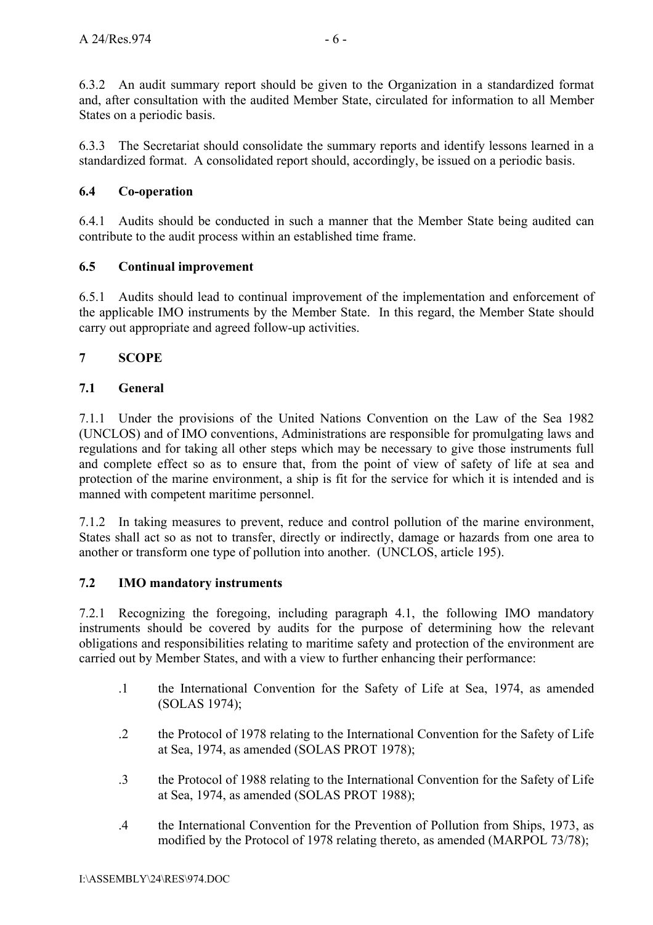6.3.2 An audit summary report should be given to the Organization in a standardized format and, after consultation with the audited Member State, circulated for information to all Member States on a periodic basis.

6.3.3 The Secretariat should consolidate the summary reports and identify lessons learned in a standardized format. A consolidated report should, accordingly, be issued on a periodic basis.

## **6.4 Co-operation**

6.4.1 Audits should be conducted in such a manner that the Member State being audited can contribute to the audit process within an established time frame.

## **6.5 Continual improvement**

6.5.1 Audits should lead to continual improvement of the implementation and enforcement of the applicable IMO instruments by the Member State. In this regard, the Member State should carry out appropriate and agreed follow-up activities.

## **7 SCOPE**

## **7.1 General**

7.1.1 Under the provisions of the United Nations Convention on the Law of the Sea 1982 (UNCLOS) and of IMO conventions, Administrations are responsible for promulgating laws and regulations and for taking all other steps which may be necessary to give those instruments full and complete effect so as to ensure that, from the point of view of safety of life at sea and protection of the marine environment, a ship is fit for the service for which it is intended and is manned with competent maritime personnel.

7.1.2 In taking measures to prevent, reduce and control pollution of the marine environment, States shall act so as not to transfer, directly or indirectly, damage or hazards from one area to another or transform one type of pollution into another. (UNCLOS, article 195).

## **7.2 IMO mandatory instruments**

7.2.1 Recognizing the foregoing, including paragraph 4.1, the following IMO mandatory instruments should be covered by audits for the purpose of determining how the relevant obligations and responsibilities relating to maritime safety and protection of the environment are carried out by Member States, and with a view to further enhancing their performance:

- .1 the International Convention for the Safety of Life at Sea, 1974, as amended (SOLAS 1974);
- .2 the Protocol of 1978 relating to the International Convention for the Safety of Life at Sea, 1974, as amended (SOLAS PROT 1978);
- .3 the Protocol of 1988 relating to the International Convention for the Safety of Life at Sea, 1974, as amended (SOLAS PROT 1988);
- .4 the International Convention for the Prevention of Pollution from Ships, 1973, as modified by the Protocol of 1978 relating thereto, as amended (MARPOL 73/78);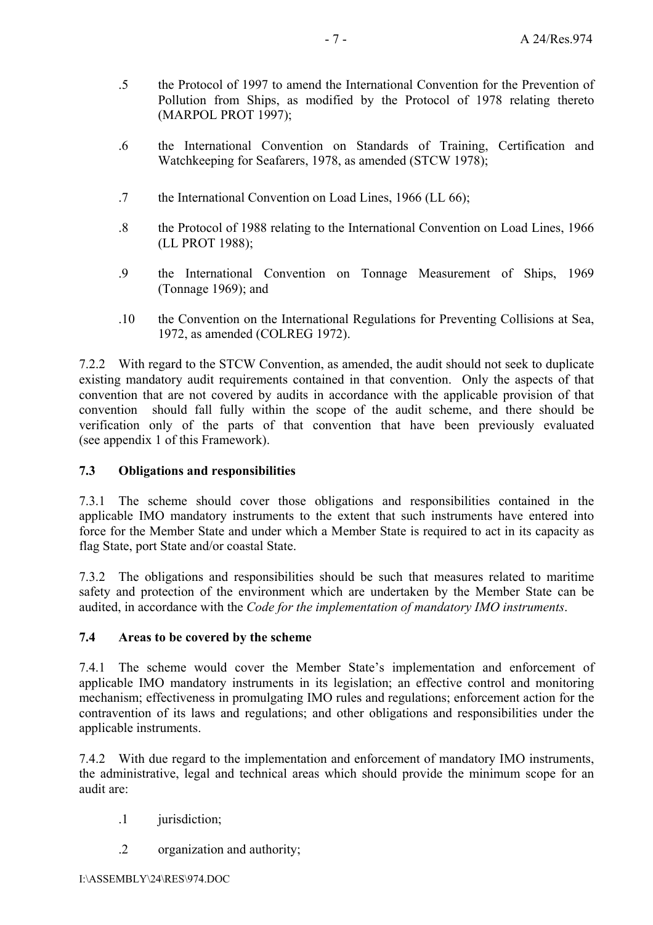- .5 the Protocol of 1997 to amend the International Convention for the Prevention of Pollution from Ships, as modified by the Protocol of 1978 relating thereto (MARPOL PROT 1997);
- .6 the International Convention on Standards of Training, Certification and Watchkeeping for Seafarers, 1978, as amended (STCW 1978);
- .7 the International Convention on Load Lines, 1966 (LL 66);
- .8 the Protocol of 1988 relating to the International Convention on Load Lines, 1966 (LL PROT 1988);
- .9 the International Convention on Tonnage Measurement of Ships, 1969 (Tonnage 1969); and
- .10 the Convention on the International Regulations for Preventing Collisions at Sea, 1972, as amended (COLREG 1972).

7.2.2 With regard to the STCW Convention, as amended, the audit should not seek to duplicate existing mandatory audit requirements contained in that convention. Only the aspects of that convention that are not covered by audits in accordance with the applicable provision of that convention should fall fully within the scope of the audit scheme, and there should be verification only of the parts of that convention that have been previously evaluated (see appendix 1 of this Framework).

## **7.3 Obligations and responsibilities**

7.3.1 The scheme should cover those obligations and responsibilities contained in the applicable IMO mandatory instruments to the extent that such instruments have entered into force for the Member State and under which a Member State is required to act in its capacity as flag State, port State and/or coastal State.

7.3.2 The obligations and responsibilities should be such that measures related to maritime safety and protection of the environment which are undertaken by the Member State can be audited, in accordance with the *Code for the implementation of mandatory IMO instruments*.

#### **7.4 Areas to be covered by the scheme**

7.4.1 The scheme would cover the Member State's implementation and enforcement of applicable IMO mandatory instruments in its legislation; an effective control and monitoring mechanism; effectiveness in promulgating IMO rules and regulations; enforcement action for the contravention of its laws and regulations; and other obligations and responsibilities under the applicable instruments.

7.4.2 With due regard to the implementation and enforcement of mandatory IMO instruments, the administrative, legal and technical areas which should provide the minimum scope for an audit are:

- .1 jurisdiction;
- .2 organization and authority;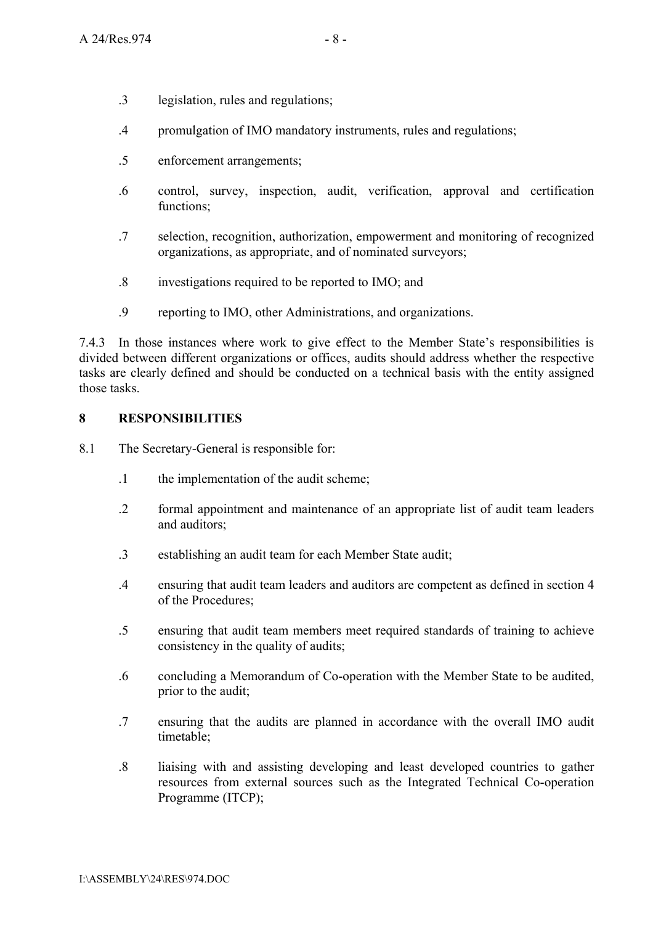- .3 legislation, rules and regulations;
- .4 promulgation of IMO mandatory instruments, rules and regulations;
- .5 enforcement arrangements;
- .6 control, survey, inspection, audit, verification, approval and certification functions;
- .7 selection, recognition, authorization, empowerment and monitoring of recognized organizations, as appropriate, and of nominated surveyors;
- .8 investigations required to be reported to IMO; and
- .9 reporting to IMO, other Administrations, and organizations.

7.4.3 In those instances where work to give effect to the Member State's responsibilities is divided between different organizations or offices, audits should address whether the respective tasks are clearly defined and should be conducted on a technical basis with the entity assigned those tasks.

#### **8 RESPONSIBILITIES**

- 8.1 The Secretary-General is responsible for:
	- .1 the implementation of the audit scheme;
	- .2 formal appointment and maintenance of an appropriate list of audit team leaders and auditors;
	- .3 establishing an audit team for each Member State audit;
	- .4 ensuring that audit team leaders and auditors are competent as defined in section 4 of the Procedures;
	- .5 ensuring that audit team members meet required standards of training to achieve consistency in the quality of audits;
	- .6 concluding a Memorandum of Co-operation with the Member State to be audited, prior to the audit;
	- .7 ensuring that the audits are planned in accordance with the overall IMO audit timetable;
	- .8 liaising with and assisting developing and least developed countries to gather resources from external sources such as the Integrated Technical Co-operation Programme (ITCP);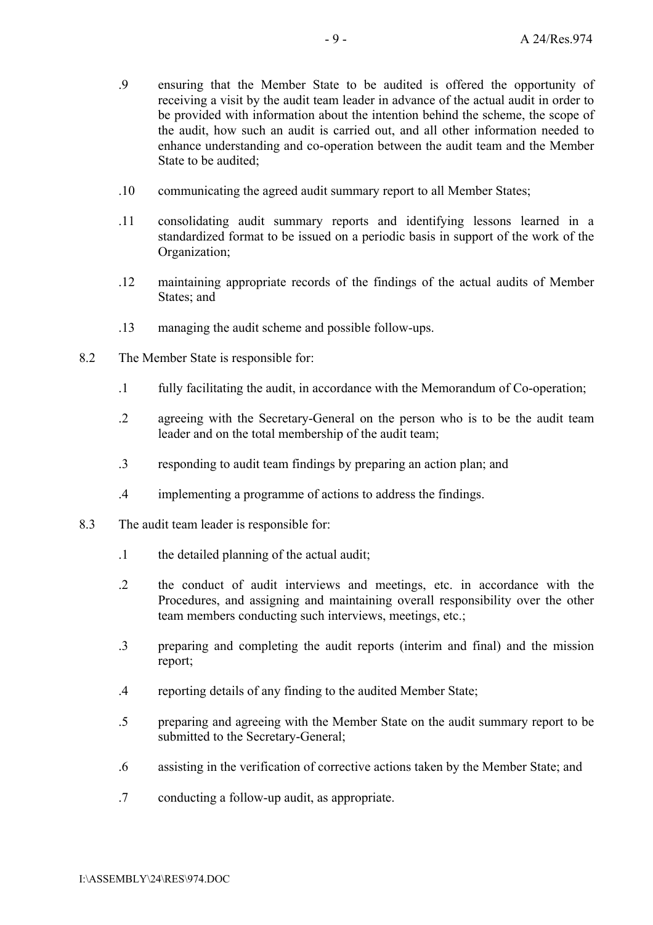- .9 ensuring that the Member State to be audited is offered the opportunity of receiving a visit by the audit team leader in advance of the actual audit in order to be provided with information about the intention behind the scheme, the scope of the audit, how such an audit is carried out, and all other information needed to enhance understanding and co-operation between the audit team and the Member State to be audited:
- .10 communicating the agreed audit summary report to all Member States;
- .11 consolidating audit summary reports and identifying lessons learned in a standardized format to be issued on a periodic basis in support of the work of the Organization;
- .12 maintaining appropriate records of the findings of the actual audits of Member States: and
- .13 managing the audit scheme and possible follow-ups.
- 8.2 The Member State is responsible for:
	- .1 fully facilitating the audit, in accordance with the Memorandum of Co-operation;
	- .2 agreeing with the Secretary-General on the person who is to be the audit team leader and on the total membership of the audit team;
	- .3 responding to audit team findings by preparing an action plan; and
	- .4 implementing a programme of actions to address the findings.
- 8.3 The audit team leader is responsible for:
	- .1 the detailed planning of the actual audit;
	- .2 the conduct of audit interviews and meetings, etc. in accordance with the Procedures, and assigning and maintaining overall responsibility over the other team members conducting such interviews, meetings, etc.;
	- .3 preparing and completing the audit reports (interim and final) and the mission report;
	- .4 reporting details of any finding to the audited Member State;
	- .5 preparing and agreeing with the Member State on the audit summary report to be submitted to the Secretary-General;
	- .6 assisting in the verification of corrective actions taken by the Member State; and
	- .7 conducting a follow-up audit, as appropriate.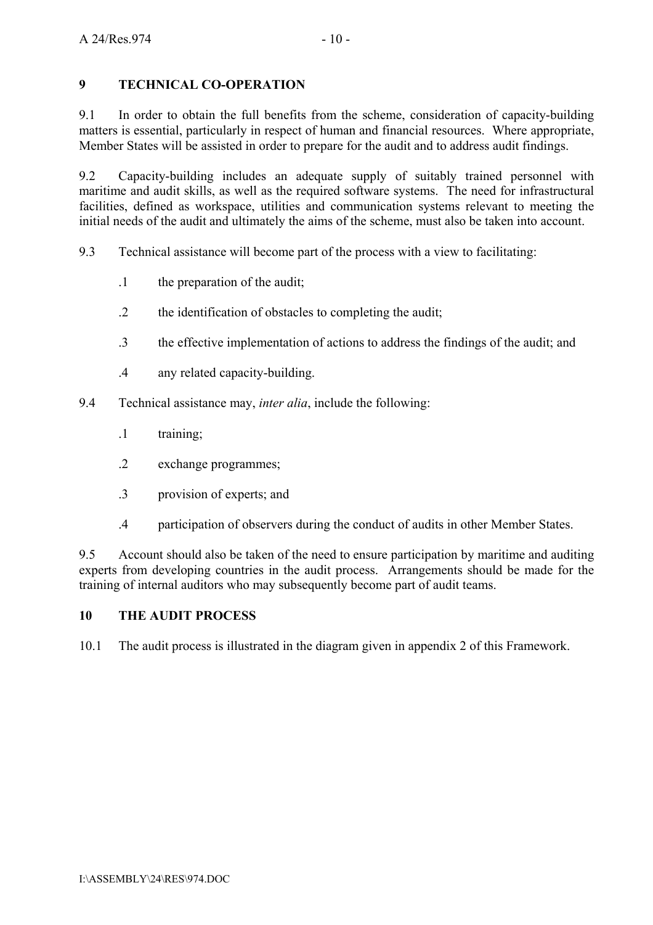## **9 TECHNICAL CO-OPERATION**

9.1 In order to obtain the full benefits from the scheme, consideration of capacity-building matters is essential, particularly in respect of human and financial resources. Where appropriate, Member States will be assisted in order to prepare for the audit and to address audit findings.

9.2 Capacity-building includes an adequate supply of suitably trained personnel with maritime and audit skills, as well as the required software systems. The need for infrastructural facilities, defined as workspace, utilities and communication systems relevant to meeting the initial needs of the audit and ultimately the aims of the scheme, must also be taken into account.

9.3 Technical assistance will become part of the process with a view to facilitating:

- .1 the preparation of the audit;
- .2 the identification of obstacles to completing the audit;
- .3 the effective implementation of actions to address the findings of the audit; and
- .4 any related capacity-building.
- 9.4 Technical assistance may, *inter alia*, include the following:
	- .1 training;
	- .2 exchange programmes;
	- .3 provision of experts; and
	- .4 participation of observers during the conduct of audits in other Member States.

9.5 Account should also be taken of the need to ensure participation by maritime and auditing experts from developing countries in the audit process. Arrangements should be made for the training of internal auditors who may subsequently become part of audit teams.

#### **10 THE AUDIT PROCESS**

10.1 The audit process is illustrated in the diagram given in appendix 2 of this Framework.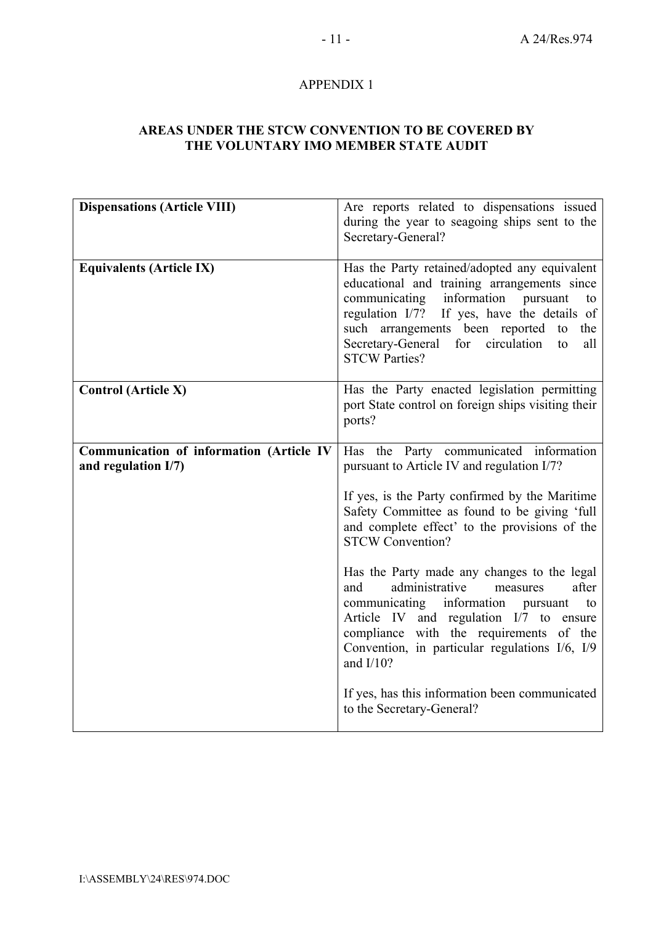## APPENDIX 1

#### **AREAS UNDER THE STCW CONVENTION TO BE COVERED BY THE VOLUNTARY IMO MEMBER STATE AUDIT**

| <b>Dispensations (Article VIII)</b>                                | Are reports related to dispensations issued<br>during the year to seagoing ships sent to the<br>Secretary-General?                                                                                                                                                                                                      |
|--------------------------------------------------------------------|-------------------------------------------------------------------------------------------------------------------------------------------------------------------------------------------------------------------------------------------------------------------------------------------------------------------------|
| <b>Equivalents (Article IX)</b>                                    | Has the Party retained/adopted any equivalent<br>educational and training arrangements since<br>information<br>communicating<br>pursuant<br>to<br>regulation I/7? If yes, have the details of<br>such arrangements been reported to<br>the<br>for circulation<br>Secretary-General<br>all<br>to<br><b>STCW Parties?</b> |
| <b>Control (Article X)</b>                                         | Has the Party enacted legislation permitting<br>port State control on foreign ships visiting their<br>ports?                                                                                                                                                                                                            |
| Communication of information (Article IV<br>and regulation $I/7$ ) | Has the Party communicated information<br>pursuant to Article IV and regulation I/7?                                                                                                                                                                                                                                    |
|                                                                    | If yes, is the Party confirmed by the Maritime<br>Safety Committee as found to be giving 'full<br>and complete effect' to the provisions of the<br><b>STCW Convention?</b>                                                                                                                                              |
|                                                                    | Has the Party made any changes to the legal<br>administrative<br>after<br>and<br>measures<br>communicating information pursuant<br>to<br>Article IV and regulation I/7 to ensure<br>compliance with the requirements of the<br>Convention, in particular regulations I/6, I/9<br>and $I/10?$                            |
|                                                                    | If yes, has this information been communicated<br>to the Secretary-General?                                                                                                                                                                                                                                             |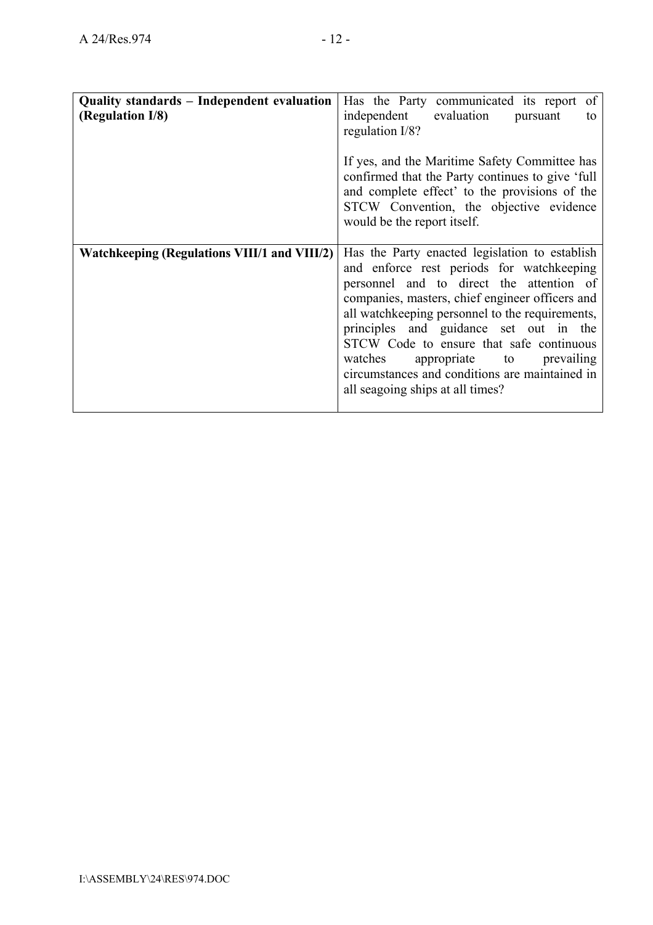| Quality standards – Independent evaluation<br>(Regulation I/8) | Has the Party communicated its report of<br>independent evaluation<br>pursuant<br>to<br>regulation I/8?<br>If yes, and the Maritime Safety Committee has<br>confirmed that the Party continues to give 'full<br>and complete effect' to the provisions of the<br>STCW Convention, the objective evidence<br>would be the report itself.                                                                                                                        |
|----------------------------------------------------------------|----------------------------------------------------------------------------------------------------------------------------------------------------------------------------------------------------------------------------------------------------------------------------------------------------------------------------------------------------------------------------------------------------------------------------------------------------------------|
| <b>Watchkeeping (Regulations VIII/1 and VIII/2)</b>            | Has the Party enacted legislation to establish<br>and enforce rest periods for watchkeeping<br>personnel and to direct the attention of<br>companies, masters, chief engineer officers and<br>all watchkeeping personnel to the requirements,<br>principles and guidance set out in the<br>STCW Code to ensure that safe continuous<br>watches appropriate to prevailing<br>circumstances and conditions are maintained in<br>all seagoing ships at all times? |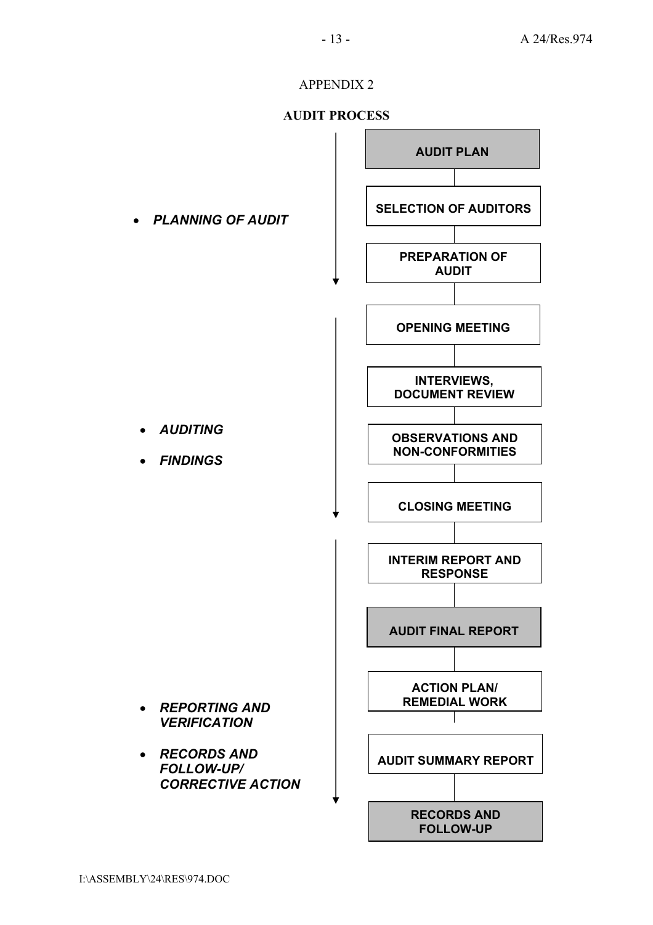## APPENDIX 2

#### **AUDIT PROCESS**

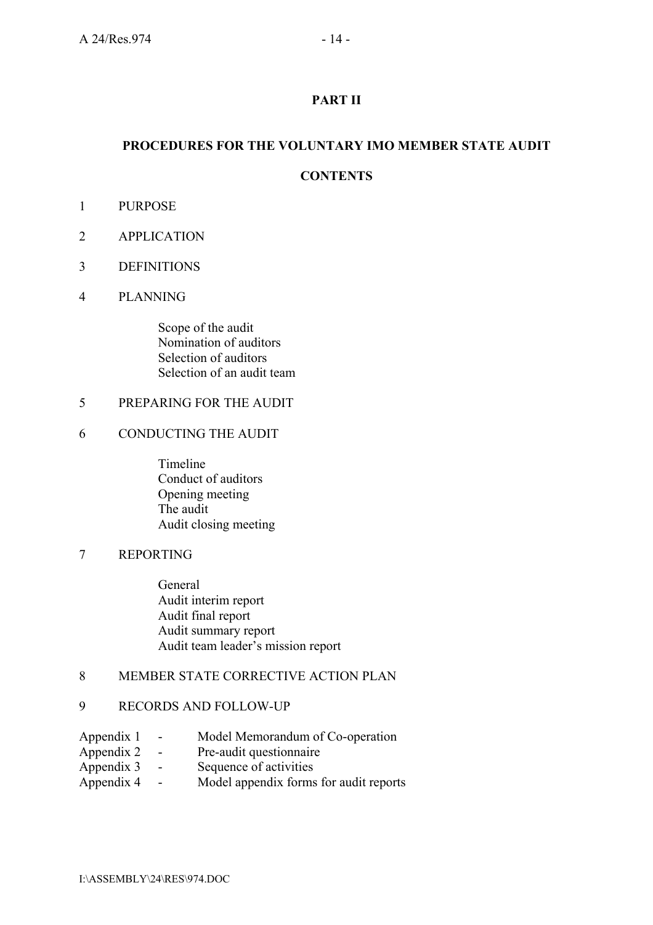## **PART II**

## **PROCEDURES FOR THE VOLUNTARY IMO MEMBER STATE AUDIT**

## **CONTENTS**

- 1 PURPOSE
- 2 APPLICATION
- 3 DEFINITIONS
- 4 PLANNING

 Scope of the audit Nomination of auditors Selection of auditors Selection of an audit team

#### 5 PREPARING FOR THE AUDIT

#### 6 CONDUCTING THE AUDIT

 Timeline Conduct of auditors Opening meeting The audit Audit closing meeting

#### 7 REPORTING

General Audit interim report Audit final report Audit summary report Audit team leader's mission report

## 8 MEMBER STATE CORRECTIVE ACTION PLAN

#### 9 RECORDS AND FOLLOW-UP

- Appendix 1 Model Memorandum of Co-operation
- Appendix 2 Pre-audit questionnaire
- Appendix 3 Sequence of activities
- Appendix 4 Model appendix forms for audit reports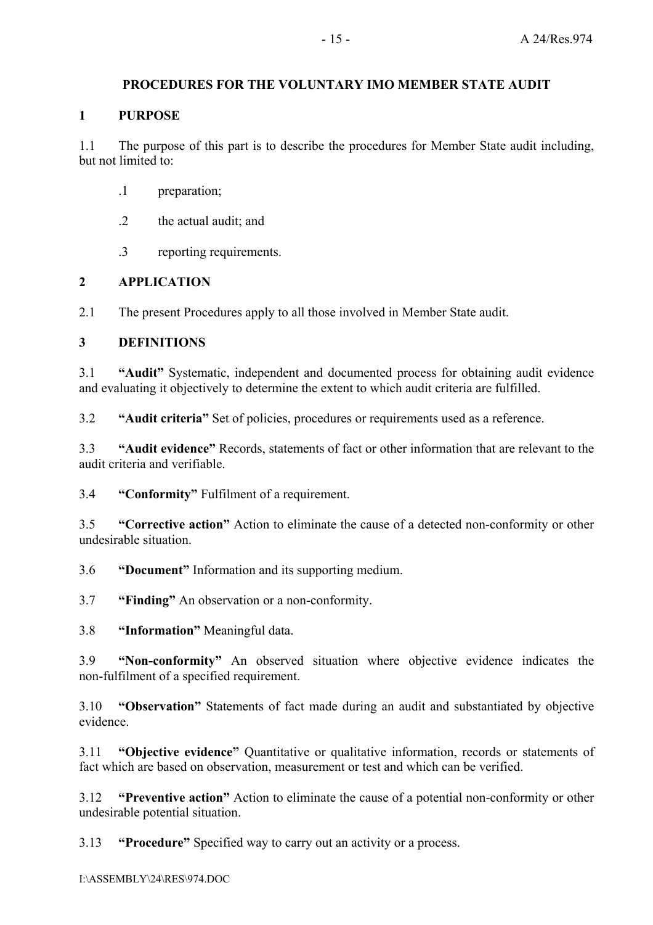## **PROCEDURES FOR THE VOLUNTARY IMO MEMBER STATE AUDIT**

#### **1 PURPOSE**

1.1 The purpose of this part is to describe the procedures for Member State audit including, but not limited to:

- .1 preparation;
- .2 the actual audit; and
- .3 reporting requirements.

## **2 APPLICATION**

2.1 The present Procedures apply to all those involved in Member State audit.

#### **3 DEFINITIONS**

3.1 *Audith* Systematic, independent and documented process for obtaining audit evidence and evaluating it objectively to determine the extent to which audit criteria are fulfilled.

3.2 **ìAudit criteriaî** Set of policies, procedures or requirements used as a reference.

3.3 **ìAudit evidenceî** Records, statements of fact or other information that are relevant to the audit criteria and verifiable.

3.4 *Conformity* Fulfilment of a requirement.

3.5 **ìCorrective actionî** Action to eliminate the cause of a detected non-conformity or other undesirable situation.

3.6 **•• Document**" Information and its supporting medium.

3.7 **ìFindingî** An observation or a non-conformity.

3.8 *iInformation* Meaningful data.

3.9 *iNon-conformity* An observed situation where objective evidence indicates the non-fulfilment of a specified requirement.

3.10 *•• Observation* Statements of fact made during an audit and substantiated by objective evidence.

3.11 *•***Objective evidence<sup></sup>** Ouantitative or qualitative information, records or statements of fact which are based on observation, measurement or test and which can be verified.

3.12 **ìPreventive actionî** Action to eliminate the cause of a potential non-conformity or other undesirable potential situation.

3.13 **•Procedure**" Specified way to carry out an activity or a process.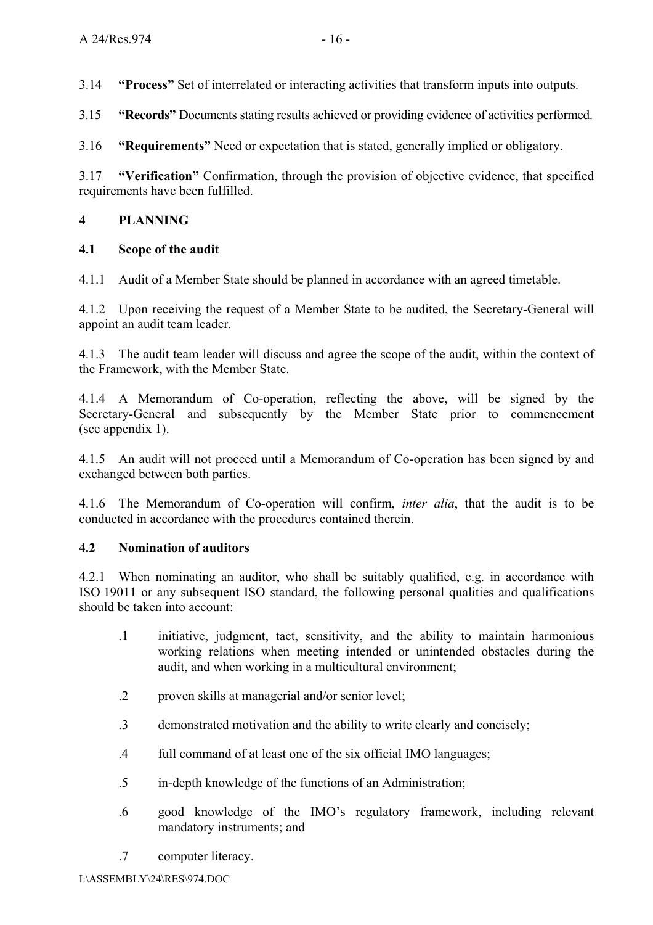3.14 **ìProcessî** Set of interrelated or interacting activities that transform inputs into outputs.

3.15 **ìRecordsî** Documents stating results achieved or providing evidence of activities performed.

3.16 *iRequirements* Need or expectation that is stated, generally implied or obligatory.

3.17 *•• Verification* Confirmation, through the provision of objective evidence, that specified requirements have been fulfilled.

## **4 PLANNING**

## **4.1 Scope of the audit**

4.1.1 Audit of a Member State should be planned in accordance with an agreed timetable.

4.1.2 Upon receiving the request of a Member State to be audited, the Secretary-General will appoint an audit team leader.

4.1.3 The audit team leader will discuss and agree the scope of the audit, within the context of the Framework, with the Member State.

4.1.4 A Memorandum of Co-operation, reflecting the above, will be signed by the Secretary-General and subsequently by the Member State prior to commencement (see appendix 1).

4.1.5 An audit will not proceed until a Memorandum of Co-operation has been signed by and exchanged between both parties.

4.1.6 The Memorandum of Co-operation will confirm, *inter alia*, that the audit is to be conducted in accordance with the procedures contained therein.

## **4.2 Nomination of auditors**

4.2.1 When nominating an auditor, who shall be suitably qualified, e.g. in accordance with ISO 19011 or any subsequent ISO standard, the following personal qualities and qualifications should be taken into account:

- .1 initiative, judgment, tact, sensitivity, and the ability to maintain harmonious working relations when meeting intended or unintended obstacles during the audit, and when working in a multicultural environment;
- .2 proven skills at managerial and/or senior level;
- .3 demonstrated motivation and the ability to write clearly and concisely;
- .4 full command of at least one of the six official IMO languages;
- .5 in-depth knowledge of the functions of an Administration;
- .6 good knowledge of the IMOís regulatory framework, including relevant mandatory instruments; and
- .7 computer literacy.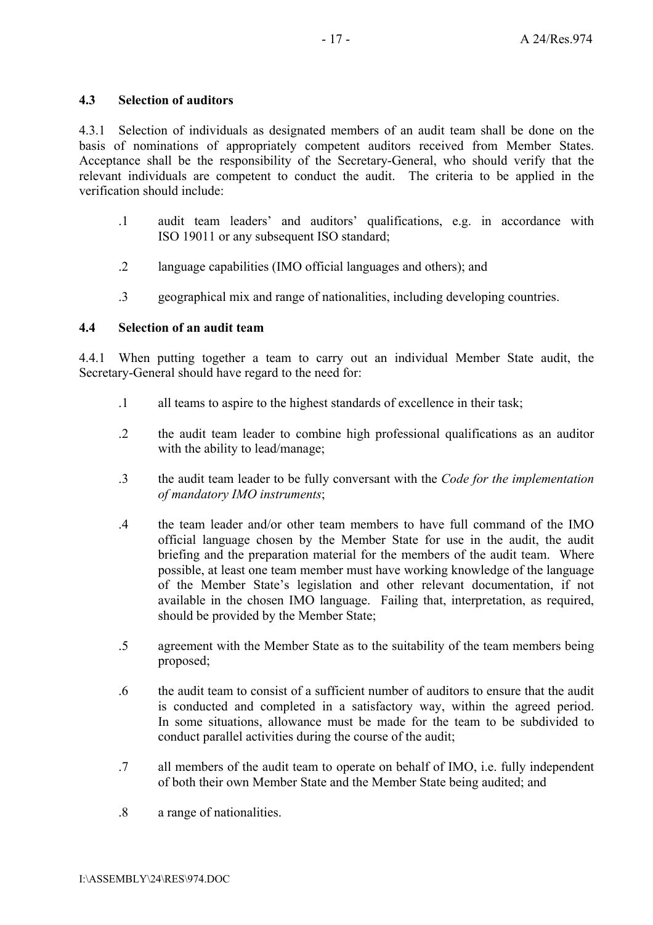## **4.3 Selection of auditors**

4.3.1 Selection of individuals as designated members of an audit team shall be done on the basis of nominations of appropriately competent auditors received from Member States. Acceptance shall be the responsibility of the Secretary-General, who should verify that the relevant individuals are competent to conduct the audit. The criteria to be applied in the verification should include:

- .1 audit team leaders' and auditors' qualifications, e.g. in accordance with ISO 19011 or any subsequent ISO standard;
- .2 language capabilities (IMO official languages and others); and
- .3 geographical mix and range of nationalities, including developing countries.

## **4.4 Selection of an audit team**

4.4.1 When putting together a team to carry out an individual Member State audit, the Secretary-General should have regard to the need for:

- .1 all teams to aspire to the highest standards of excellence in their task;
- .2 the audit team leader to combine high professional qualifications as an auditor with the ability to lead/manage;
- .3 the audit team leader to be fully conversant with the *Code for the implementation of mandatory IMO instruments*;
- .4 the team leader and/or other team members to have full command of the IMO official language chosen by the Member State for use in the audit, the audit briefing and the preparation material for the members of the audit team. Where possible, at least one team member must have working knowledge of the language of the Member Stateís legislation and other relevant documentation, if not available in the chosen IMO language. Failing that, interpretation, as required, should be provided by the Member State;
- .5 agreement with the Member State as to the suitability of the team members being proposed;
- .6 the audit team to consist of a sufficient number of auditors to ensure that the audit is conducted and completed in a satisfactory way, within the agreed period. In some situations, allowance must be made for the team to be subdivided to conduct parallel activities during the course of the audit;
- .7 all members of the audit team to operate on behalf of IMO, i.e. fully independent of both their own Member State and the Member State being audited; and
- .8 a range of nationalities.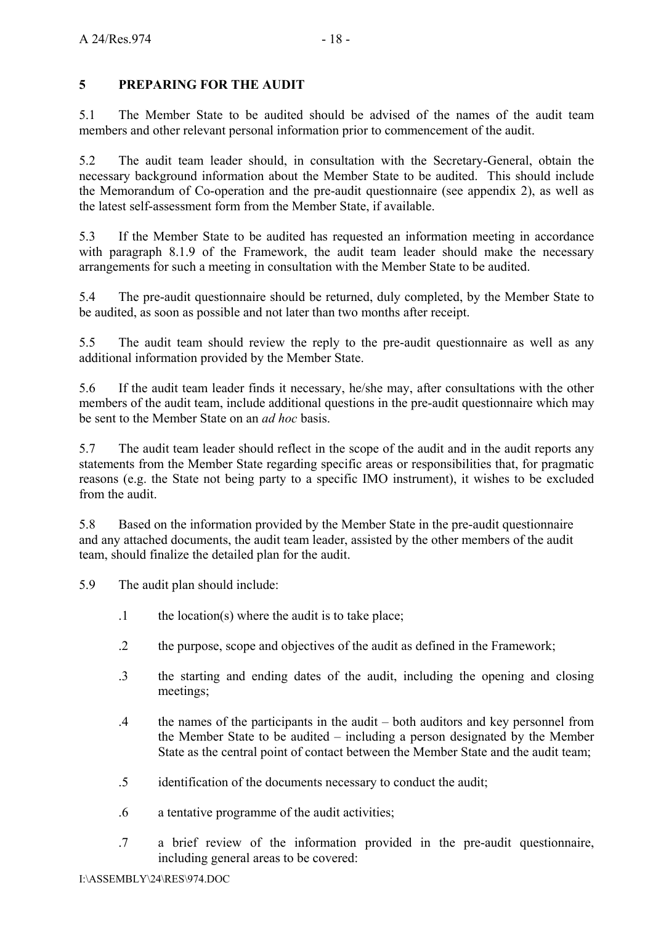## **5 PREPARING FOR THE AUDIT**

5.1 The Member State to be audited should be advised of the names of the audit team members and other relevant personal information prior to commencement of the audit.

5.2 The audit team leader should, in consultation with the Secretary-General, obtain the necessary background information about the Member State to be audited. This should include the Memorandum of Co-operation and the pre-audit questionnaire (see appendix 2), as well as the latest self-assessment form from the Member State, if available.

5.3 If the Member State to be audited has requested an information meeting in accordance with paragraph 8.1.9 of the Framework, the audit team leader should make the necessary arrangements for such a meeting in consultation with the Member State to be audited.

5.4 The pre-audit questionnaire should be returned, duly completed, by the Member State to be audited, as soon as possible and not later than two months after receipt.

5.5 The audit team should review the reply to the pre-audit questionnaire as well as any additional information provided by the Member State.

5.6 If the audit team leader finds it necessary, he/she may, after consultations with the other members of the audit team, include additional questions in the pre-audit questionnaire which may be sent to the Member State on an *ad hoc* basis.

5.7 The audit team leader should reflect in the scope of the audit and in the audit reports any statements from the Member State regarding specific areas or responsibilities that, for pragmatic reasons (e.g. the State not being party to a specific IMO instrument), it wishes to be excluded from the audit.

5.8 Based on the information provided by the Member State in the pre-audit questionnaire and any attached documents, the audit team leader, assisted by the other members of the audit team, should finalize the detailed plan for the audit.

5.9 The audit plan should include:

- .1 the location(s) where the audit is to take place;
- .2 the purpose, scope and objectives of the audit as defined in the Framework;
- .3 the starting and ending dates of the audit, including the opening and closing meetings;
- .4 the names of the participants in the audit  $-$  both auditors and key personnel from the Member State to be audited  $-$  including a person designated by the Member State as the central point of contact between the Member State and the audit team;
- .5 identification of the documents necessary to conduct the audit;
- .6 a tentative programme of the audit activities;
- .7 a brief review of the information provided in the pre-audit questionnaire, including general areas to be covered: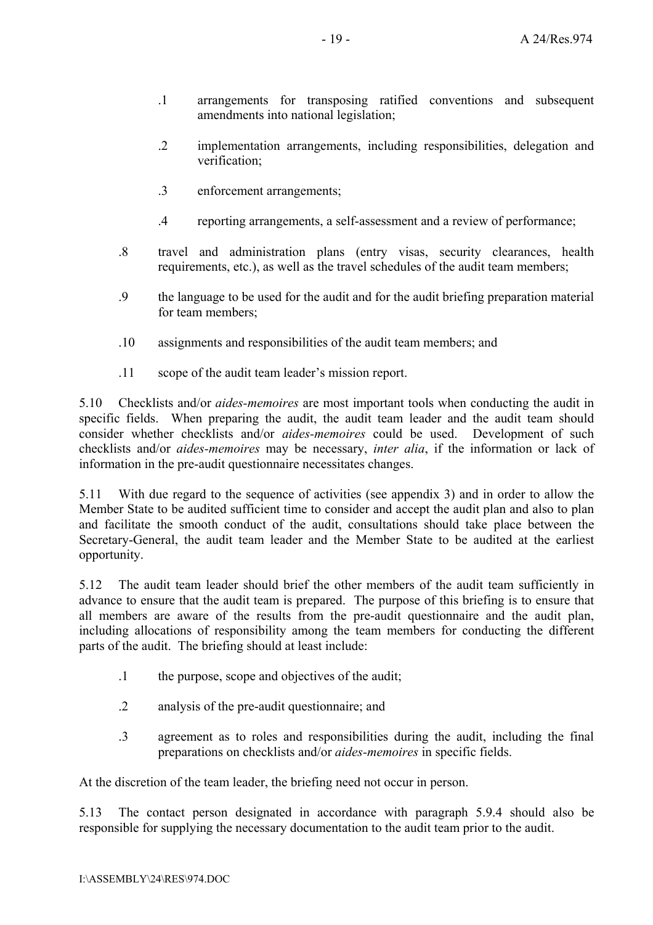- .1 arrangements for transposing ratified conventions and subsequent amendments into national legislation;
- .2 implementation arrangements, including responsibilities, delegation and verification;
- .3 enforcement arrangements;
- .4 reporting arrangements, a self-assessment and a review of performance;
- .8 travel and administration plans (entry visas, security clearances, health requirements, etc.), as well as the travel schedules of the audit team members;
- .9 the language to be used for the audit and for the audit briefing preparation material for team members:
- .10 assignments and responsibilities of the audit team members; and
- .11 scope of the audit team leader's mission report.

5.10 Checklists and/or *aides-memoires* are most important tools when conducting the audit in specific fields. When preparing the audit, the audit team leader and the audit team should consider whether checklists and/or *aides-memoires* could be used. Development of such checklists and/or *aides-memoires* may be necessary, *inter alia*, if the information or lack of information in the pre-audit questionnaire necessitates changes.

5.11 With due regard to the sequence of activities (see appendix 3) and in order to allow the Member State to be audited sufficient time to consider and accept the audit plan and also to plan and facilitate the smooth conduct of the audit, consultations should take place between the Secretary-General, the audit team leader and the Member State to be audited at the earliest opportunity.

5.12 The audit team leader should brief the other members of the audit team sufficiently in advance to ensure that the audit team is prepared. The purpose of this briefing is to ensure that all members are aware of the results from the pre-audit questionnaire and the audit plan, including allocations of responsibility among the team members for conducting the different parts of the audit. The briefing should at least include:

- .1 the purpose, scope and objectives of the audit;
- .2 analysis of the pre-audit questionnaire; and
- .3 agreement as to roles and responsibilities during the audit, including the final preparations on checklists and/or *aides-memoires* in specific fields.

At the discretion of the team leader, the briefing need not occur in person.

5.13 The contact person designated in accordance with paragraph 5.9.4 should also be responsible for supplying the necessary documentation to the audit team prior to the audit.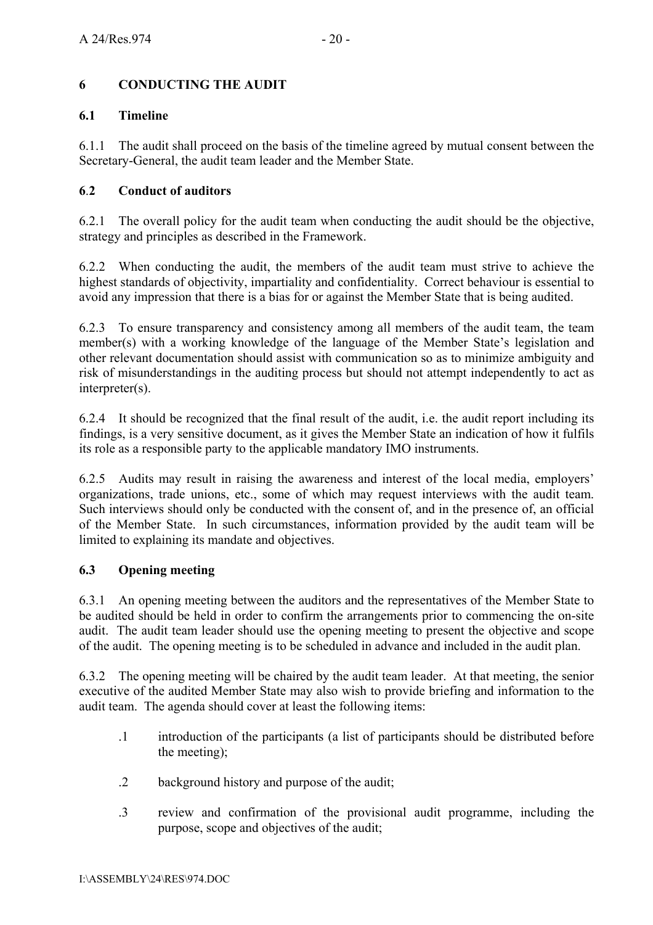## **6 CONDUCTING THE AUDIT**

## **6.1 Timeline**

6.1.1 The audit shall proceed on the basis of the timeline agreed by mutual consent between the Secretary-General, the audit team leader and the Member State.

## **6**.**2 Conduct of auditors**

6.2.1 The overall policy for the audit team when conducting the audit should be the objective, strategy and principles as described in the Framework.

6.2.2 When conducting the audit, the members of the audit team must strive to achieve the highest standards of objectivity, impartiality and confidentiality. Correct behaviour is essential to avoid any impression that there is a bias for or against the Member State that is being audited.

6.2.3 To ensure transparency and consistency among all members of the audit team, the team member(s) with a working knowledge of the language of the Member State's legislation and other relevant documentation should assist with communication so as to minimize ambiguity and risk of misunderstandings in the auditing process but should not attempt independently to act as interpreter(s).

6.2.4 It should be recognized that the final result of the audit, i.e. the audit report including its findings, is a very sensitive document, as it gives the Member State an indication of how it fulfils its role as a responsible party to the applicable mandatory IMO instruments.

6.2.5 Audits may result in raising the awareness and interest of the local media, employers' organizations, trade unions, etc., some of which may request interviews with the audit team. Such interviews should only be conducted with the consent of, and in the presence of, an official of the Member State. In such circumstances, information provided by the audit team will be limited to explaining its mandate and objectives.

## **6.3 Opening meeting**

6.3.1 An opening meeting between the auditors and the representatives of the Member State to be audited should be held in order to confirm the arrangements prior to commencing the on-site audit. The audit team leader should use the opening meeting to present the objective and scope of the audit. The opening meeting is to be scheduled in advance and included in the audit plan.

6.3.2 The opening meeting will be chaired by the audit team leader. At that meeting, the senior executive of the audited Member State may also wish to provide briefing and information to the audit team. The agenda should cover at least the following items:

- .1 introduction of the participants (a list of participants should be distributed before the meeting);
- .2 background history and purpose of the audit;
- .3 review and confirmation of the provisional audit programme, including the purpose, scope and objectives of the audit;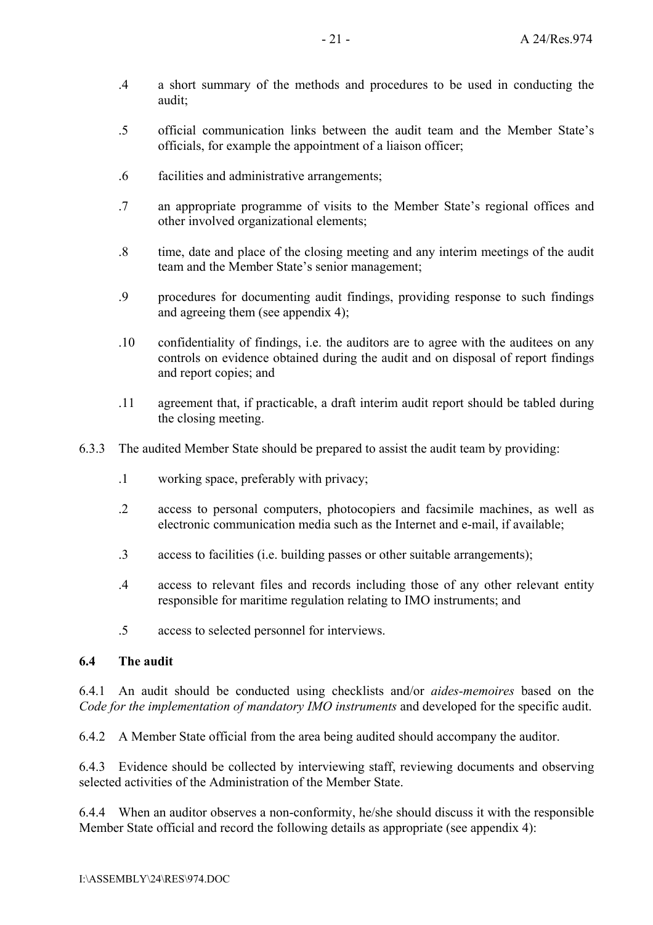- .4 a short summary of the methods and procedures to be used in conducting the audit;
- .5 official communication links between the audit team and the Member Stateís officials, for example the appointment of a liaison officer;
- .6 facilities and administrative arrangements;
- .7 an appropriate programme of visits to the Member State's regional offices and other involved organizational elements;
- .8 time, date and place of the closing meeting and any interim meetings of the audit team and the Member State's senior management;
- .9 procedures for documenting audit findings, providing response to such findings and agreeing them (see appendix 4);
- .10 confidentiality of findings, i.e. the auditors are to agree with the auditees on any controls on evidence obtained during the audit and on disposal of report findings and report copies; and
- .11 agreement that, if practicable, a draft interim audit report should be tabled during the closing meeting.
- 6.3.3 The audited Member State should be prepared to assist the audit team by providing:
	- .1 working space, preferably with privacy;
	- .2 access to personal computers, photocopiers and facsimile machines, as well as electronic communication media such as the Internet and e-mail, if available;
	- .3 access to facilities (i.e. building passes or other suitable arrangements);
	- .4 access to relevant files and records including those of any other relevant entity responsible for maritime regulation relating to IMO instruments; and
	- .5 access to selected personnel for interviews.

#### **6.4 The audit**

6.4.1 An audit should be conducted using checklists and/or *aides-memoires* based on the *Code for the implementation of mandatory IMO instruments* and developed for the specific audit.

6.4.2 A Member State official from the area being audited should accompany the auditor.

6.4.3 Evidence should be collected by interviewing staff, reviewing documents and observing selected activities of the Administration of the Member State.

6.4.4 When an auditor observes a non-conformity, he/she should discuss it with the responsible Member State official and record the following details as appropriate (see appendix 4):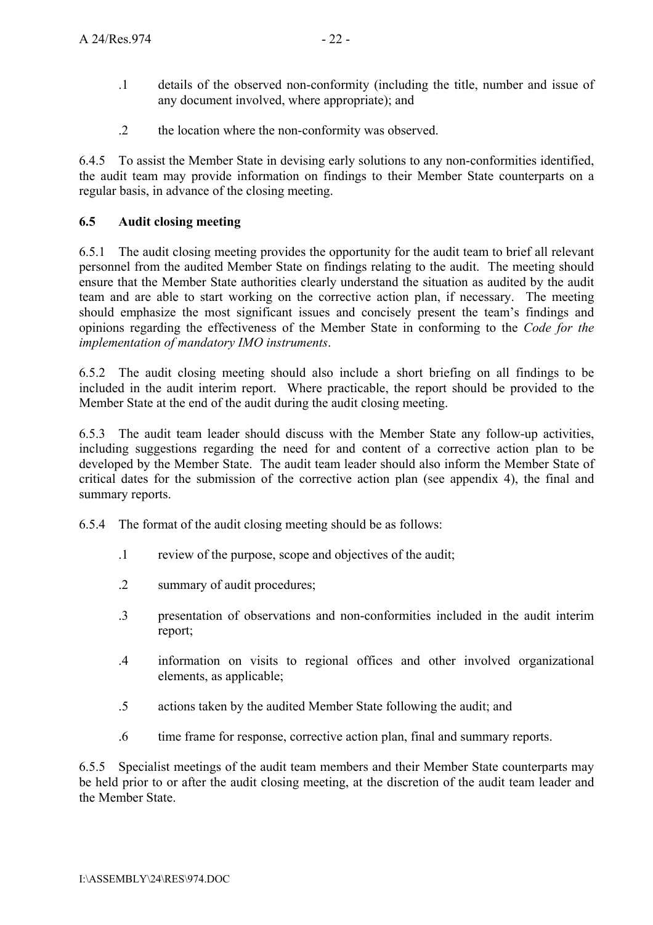- .1 details of the observed non-conformity (including the title, number and issue of any document involved, where appropriate); and
- .2 the location where the non-conformity was observed.

6.4.5 To assist the Member State in devising early solutions to any non-conformities identified, the audit team may provide information on findings to their Member State counterparts on a regular basis, in advance of the closing meeting.

## **6.5 Audit closing meeting**

6.5.1 The audit closing meeting provides the opportunity for the audit team to brief all relevant personnel from the audited Member State on findings relating to the audit. The meeting should ensure that the Member State authorities clearly understand the situation as audited by the audit team and are able to start working on the corrective action plan, if necessary. The meeting should emphasize the most significant issues and concisely present the team's findings and opinions regarding the effectiveness of the Member State in conforming to the *Code for the implementation of mandatory IMO instruments*.

6.5.2 The audit closing meeting should also include a short briefing on all findings to be included in the audit interim report. Where practicable, the report should be provided to the Member State at the end of the audit during the audit closing meeting.

6.5.3 The audit team leader should discuss with the Member State any follow-up activities, including suggestions regarding the need for and content of a corrective action plan to be developed by the Member State. The audit team leader should also inform the Member State of critical dates for the submission of the corrective action plan (see appendix 4), the final and summary reports.

6.5.4 The format of the audit closing meeting should be as follows:

- .1 review of the purpose, scope and objectives of the audit;
- .2 summary of audit procedures;
- .3 presentation of observations and non-conformities included in the audit interim report;
- .4 information on visits to regional offices and other involved organizational elements, as applicable;
- .5 actions taken by the audited Member State following the audit; and
- .6 time frame for response, corrective action plan, final and summary reports.

6.5.5 Specialist meetings of the audit team members and their Member State counterparts may be held prior to or after the audit closing meeting, at the discretion of the audit team leader and the Member State.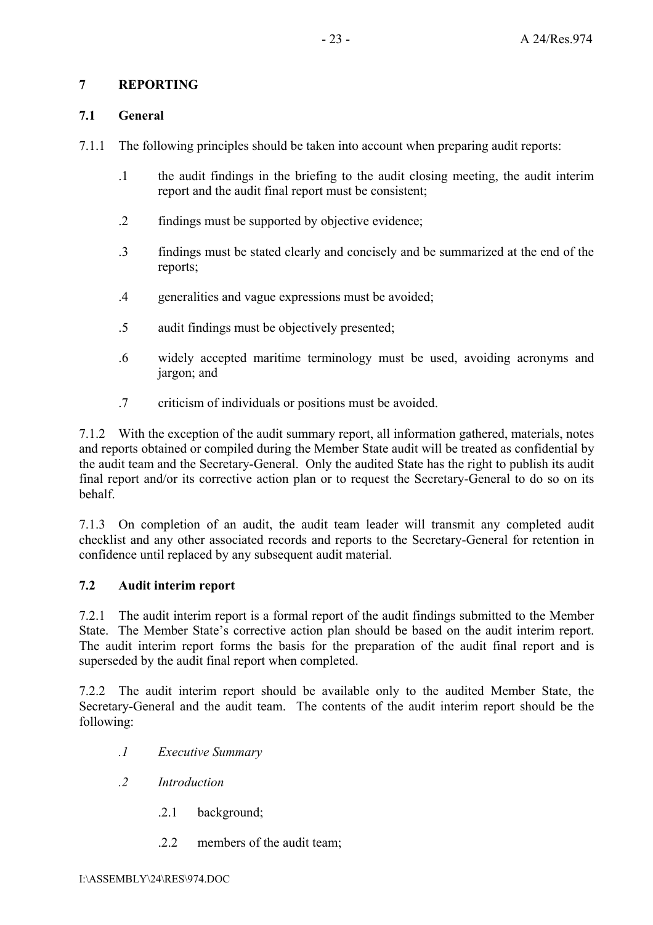## **7 REPORTING**

#### **7.1 General**

- 7.1.1 The following principles should be taken into account when preparing audit reports:
	- .1 the audit findings in the briefing to the audit closing meeting, the audit interim report and the audit final report must be consistent;
	- .2 findings must be supported by objective evidence;
	- .3 findings must be stated clearly and concisely and be summarized at the end of the reports;
	- .4 generalities and vague expressions must be avoided;
	- .5 audit findings must be objectively presented;
	- .6 widely accepted maritime terminology must be used, avoiding acronyms and jargon; and
	- .7 criticism of individuals or positions must be avoided.

7.1.2 With the exception of the audit summary report, all information gathered, materials, notes and reports obtained or compiled during the Member State audit will be treated as confidential by the audit team and the Secretary-General. Only the audited State has the right to publish its audit final report and/or its corrective action plan or to request the Secretary-General to do so on its behalf.

7.1.3 On completion of an audit, the audit team leader will transmit any completed audit checklist and any other associated records and reports to the Secretary-General for retention in confidence until replaced by any subsequent audit material.

## **7.2 Audit interim report**

7.2.1 The audit interim report is a formal report of the audit findings submitted to the Member State. The Member State's corrective action plan should be based on the audit interim report. The audit interim report forms the basis for the preparation of the audit final report and is superseded by the audit final report when completed.

7.2.2 The audit interim report should be available only to the audited Member State, the Secretary-General and the audit team. The contents of the audit interim report should be the following:

- *.1 Executive Summary*
- *.2 Introduction*
	- .2.1 background;
	- .2.2 members of the audit team;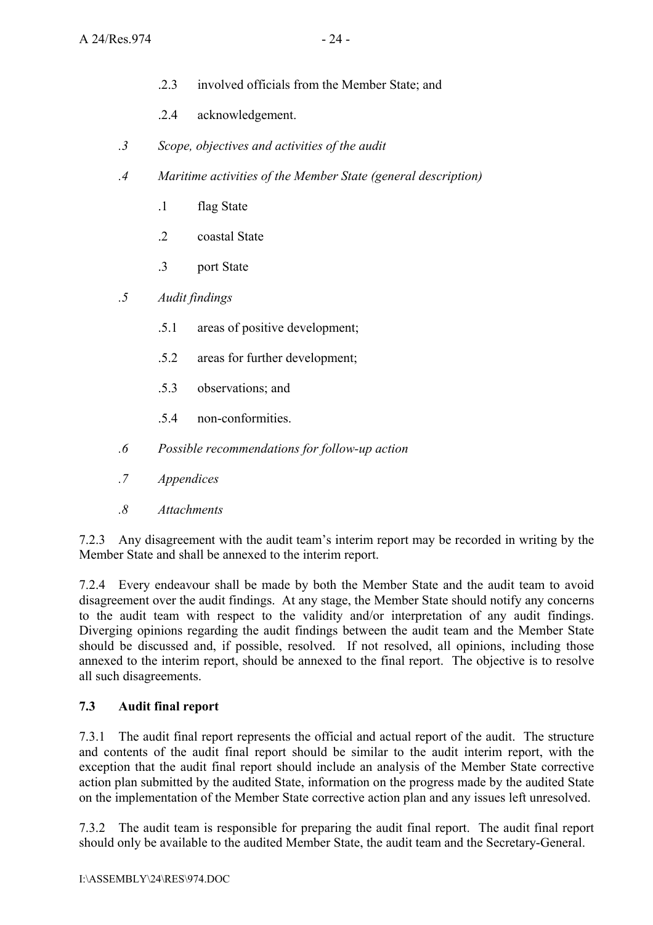- .2.3 involved officials from the Member State; and
- .2.4 acknowledgement.
- *.3 Scope, objectives and activities of the audit*
- *.4 Maritime activities of the Member State (general description)* 
	- .1 flag State
	- .2 coastal State
	- .3 port State
- *.5 Audit findings* 
	- .5.1 areas of positive development;
	- .5.2 areas for further development;
	- .5.3 observations; and
	- .5.4 non-conformities.
- *.6 Possible recommendations for follow-up action*
- *.7 Appendices*
- *.8 Attachments*

7.2.3 Any disagreement with the audit team's interim report may be recorded in writing by the Member State and shall be annexed to the interim report.

7.2.4 Every endeavour shall be made by both the Member State and the audit team to avoid disagreement over the audit findings. At any stage, the Member State should notify any concerns to the audit team with respect to the validity and/or interpretation of any audit findings. Diverging opinions regarding the audit findings between the audit team and the Member State should be discussed and, if possible, resolved. If not resolved, all opinions, including those annexed to the interim report, should be annexed to the final report. The objective is to resolve all such disagreements.

## **7.3 Audit final report**

7.3.1 The audit final report represents the official and actual report of the audit. The structure and contents of the audit final report should be similar to the audit interim report, with the exception that the audit final report should include an analysis of the Member State corrective action plan submitted by the audited State, information on the progress made by the audited State on the implementation of the Member State corrective action plan and any issues left unresolved.

7.3.2 The audit team is responsible for preparing the audit final report. The audit final report should only be available to the audited Member State, the audit team and the Secretary-General.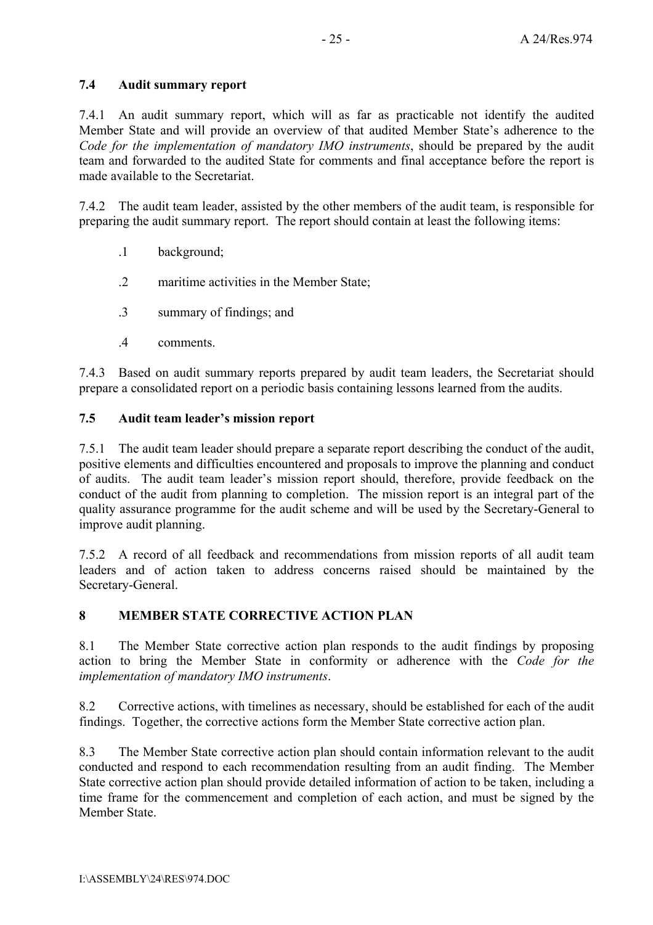## **7.4 Audit summary report**

7.4.1 An audit summary report, which will as far as practicable not identify the audited Member State and will provide an overview of that audited Member State's adherence to the *Code for the implementation of mandatory IMO instruments*, should be prepared by the audit team and forwarded to the audited State for comments and final acceptance before the report is made available to the Secretariat.

7.4.2 The audit team leader, assisted by the other members of the audit team, is responsible for preparing the audit summary report. The report should contain at least the following items:

- .1 background;
- .2 maritime activities in the Member State;
- .3 summary of findings; and
- .4 comments.

7.4.3 Based on audit summary reports prepared by audit team leaders, the Secretariat should prepare a consolidated report on a periodic basis containing lessons learned from the audits.

# **7.5 Audit team leaderís mission report**

7.5.1 The audit team leader should prepare a separate report describing the conduct of the audit, positive elements and difficulties encountered and proposals to improve the planning and conduct of audits. The audit team leader's mission report should, therefore, provide feedback on the conduct of the audit from planning to completion. The mission report is an integral part of the quality assurance programme for the audit scheme and will be used by the Secretary-General to improve audit planning.

7.5.2 A record of all feedback and recommendations from mission reports of all audit team leaders and of action taken to address concerns raised should be maintained by the Secretary-General.

# **8 MEMBER STATE CORRECTIVE ACTION PLAN**

8.1 The Member State corrective action plan responds to the audit findings by proposing action to bring the Member State in conformity or adherence with the *Code for the implementation of mandatory IMO instruments*.

8.2 Corrective actions, with timelines as necessary, should be established for each of the audit findings. Together, the corrective actions form the Member State corrective action plan.

8.3 The Member State corrective action plan should contain information relevant to the audit conducted and respond to each recommendation resulting from an audit finding. The Member State corrective action plan should provide detailed information of action to be taken, including a time frame for the commencement and completion of each action, and must be signed by the Member State.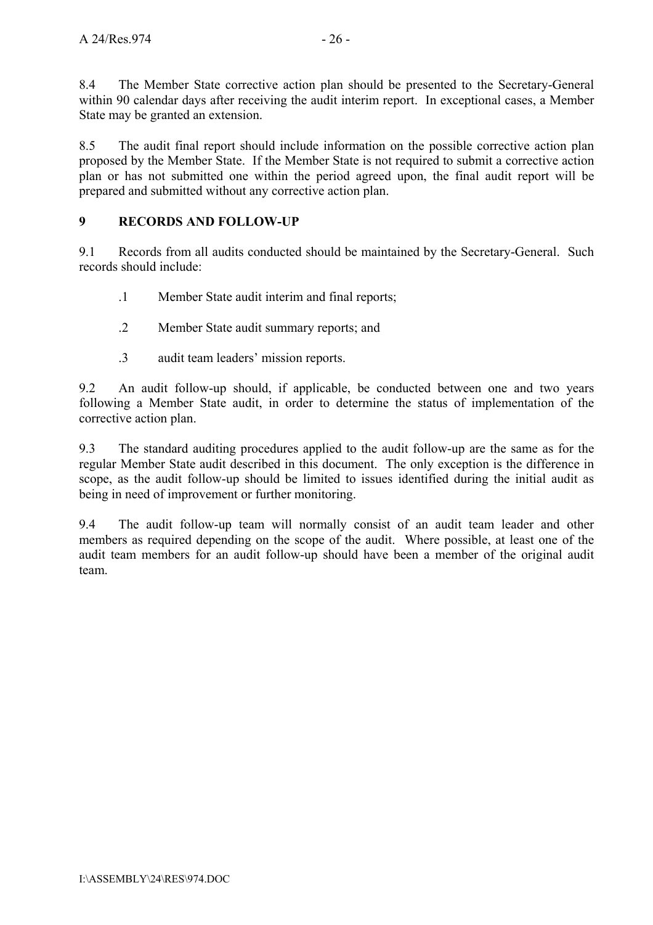8.4 The Member State corrective action plan should be presented to the Secretary-General within 90 calendar days after receiving the audit interim report. In exceptional cases, a Member State may be granted an extension.

8.5 The audit final report should include information on the possible corrective action plan proposed by the Member State. If the Member State is not required to submit a corrective action plan or has not submitted one within the period agreed upon, the final audit report will be prepared and submitted without any corrective action plan.

## **9 RECORDS AND FOLLOW-UP**

9.1 Records from all audits conducted should be maintained by the Secretary-General. Such records should include:

- .1 Member State audit interim and final reports;
- .2 Member State audit summary reports; and
- .3 audit team leaders' mission reports.

9.2 An audit follow-up should, if applicable, be conducted between one and two years following a Member State audit, in order to determine the status of implementation of the corrective action plan.

9.3 The standard auditing procedures applied to the audit follow-up are the same as for the regular Member State audit described in this document. The only exception is the difference in scope, as the audit follow-up should be limited to issues identified during the initial audit as being in need of improvement or further monitoring.

9.4 The audit follow-up team will normally consist of an audit team leader and other members as required depending on the scope of the audit. Where possible, at least one of the audit team members for an audit follow-up should have been a member of the original audit team.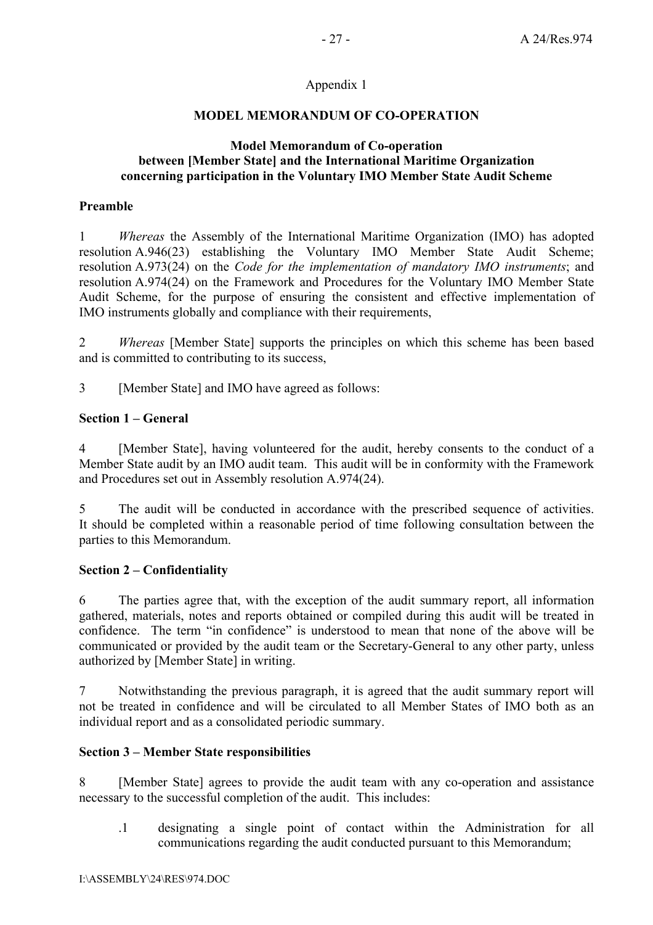## Appendix 1

#### **MODEL MEMORANDUM OF CO-OPERATION**

#### **Model Memorandum of Co-operation between [Member State] and the International Maritime Organization concerning participation in the Voluntary IMO Member State Audit Scheme**

#### **Preamble**

1 *Whereas* the Assembly of the International Maritime Organization (IMO) has adopted resolution A.946(23) establishing the Voluntary IMO Member State Audit Scheme; resolution A.973(24) on the *Code for the implementation of mandatory IMO instruments*; and resolution A.974(24) on the Framework and Procedures for the Voluntary IMO Member State Audit Scheme, for the purpose of ensuring the consistent and effective implementation of IMO instruments globally and compliance with their requirements,

2 *Whereas* [Member State] supports the principles on which this scheme has been based and is committed to contributing to its success,

3 [Member State] and IMO have agreed as follows:

## **Section 1 – General**

4 [Member State], having volunteered for the audit, hereby consents to the conduct of a Member State audit by an IMO audit team. This audit will be in conformity with the Framework and Procedures set out in Assembly resolution A.974(24).

5 The audit will be conducted in accordance with the prescribed sequence of activities. It should be completed within a reasonable period of time following consultation between the parties to this Memorandum.

## **Section 2 – Confidentiality**

6 The parties agree that, with the exception of the audit summary report, all information gathered, materials, notes and reports obtained or compiled during this audit will be treated in confidence. The term "in confidence" is understood to mean that none of the above will be communicated or provided by the audit team or the Secretary-General to any other party, unless authorized by [Member State] in writing.

7 Notwithstanding the previous paragraph, it is agreed that the audit summary report will not be treated in confidence and will be circulated to all Member States of IMO both as an individual report and as a consolidated periodic summary.

## **Section 3 – Member State responsibilities**

8 [Member State] agrees to provide the audit team with any co-operation and assistance necessary to the successful completion of the audit. This includes:

.1 designating a single point of contact within the Administration for all communications regarding the audit conducted pursuant to this Memorandum;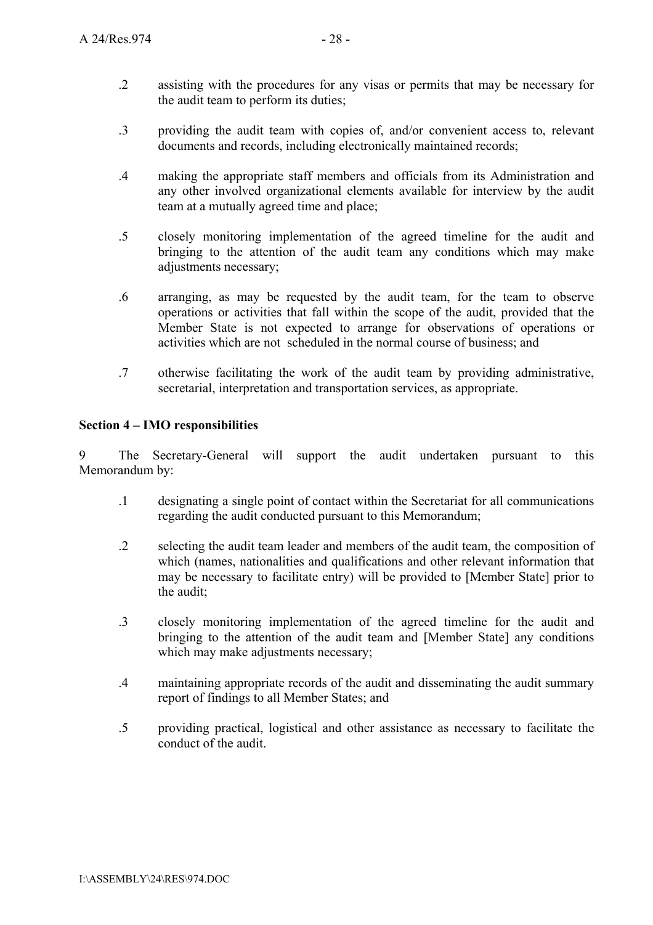- .2 assisting with the procedures for any visas or permits that may be necessary for the audit team to perform its duties;
- .3 providing the audit team with copies of, and/or convenient access to, relevant documents and records, including electronically maintained records;
- .4 making the appropriate staff members and officials from its Administration and any other involved organizational elements available for interview by the audit team at a mutually agreed time and place;
- .5 closely monitoring implementation of the agreed timeline for the audit and bringing to the attention of the audit team any conditions which may make adjustments necessary;
- .6 arranging, as may be requested by the audit team, for the team to observe operations or activities that fall within the scope of the audit, provided that the Member State is not expected to arrange for observations of operations or activities which are not scheduled in the normal course of business; and
- .7 otherwise facilitating the work of the audit team by providing administrative, secretarial, interpretation and transportation services, as appropriate.

## **Section 4 – IMO responsibilities**

9 The Secretary-General will support the audit undertaken pursuant to this Memorandum by:

- .1 designating a single point of contact within the Secretariat for all communications regarding the audit conducted pursuant to this Memorandum;
- .2 selecting the audit team leader and members of the audit team, the composition of which (names, nationalities and qualifications and other relevant information that may be necessary to facilitate entry) will be provided to [Member State] prior to the audit;
- .3 closely monitoring implementation of the agreed timeline for the audit and bringing to the attention of the audit team and [Member State] any conditions which may make adjustments necessary;
- .4 maintaining appropriate records of the audit and disseminating the audit summary report of findings to all Member States; and
- .5 providing practical, logistical and other assistance as necessary to facilitate the conduct of the audit.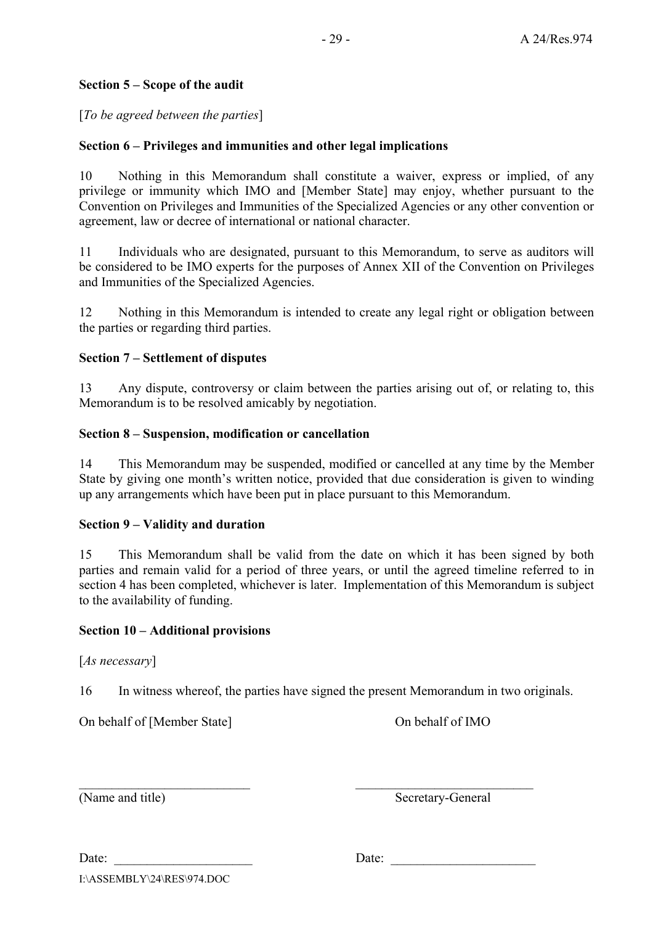## **Section 5 – Scope of the audit**

[*To be agreed between the parties*]

## **Section 6 – Privileges and immunities and other legal implications**

10 Nothing in this Memorandum shall constitute a waiver, express or implied, of any privilege or immunity which IMO and [Member State] may enjoy, whether pursuant to the Convention on Privileges and Immunities of the Specialized Agencies or any other convention or agreement, law or decree of international or national character.

11 Individuals who are designated, pursuant to this Memorandum, to serve as auditors will be considered to be IMO experts for the purposes of Annex XII of the Convention on Privileges and Immunities of the Specialized Agencies.

12 Nothing in this Memorandum is intended to create any legal right or obligation between the parties or regarding third parties.

## **Section 7 – Settlement of disputes**

13 Any dispute, controversy or claim between the parties arising out of, or relating to, this Memorandum is to be resolved amicably by negotiation.

## **Section 8 – Suspension, modification or cancellation**

14 This Memorandum may be suspended, modified or cancelled at any time by the Member State by giving one month's written notice, provided that due consideration is given to winding up any arrangements which have been put in place pursuant to this Memorandum.

## **Section 9 – Validity and duration**

15 This Memorandum shall be valid from the date on which it has been signed by both parties and remain valid for a period of three years, or until the agreed timeline referred to in section 4 has been completed, whichever is later. Implementation of this Memorandum is subject to the availability of funding.

## **Section 10 – Additional provisions**

[*As necessary*]

16 In witness whereof, the parties have signed the present Memorandum in two originals.

 $\mathcal{L}_\text{max}$  , and the contract of the contract of the contract of the contract of the contract of the contract of

On behalf of [Member State] On behalf of IMO

(Name and title) Secretary-General

Date: \_\_\_\_\_\_\_\_\_\_\_\_\_\_\_\_\_\_\_\_\_ Date: \_\_\_\_\_\_\_\_\_\_\_\_\_\_\_\_\_\_\_\_\_\_

I:\ASSEMBLY\24\RES\974.DOC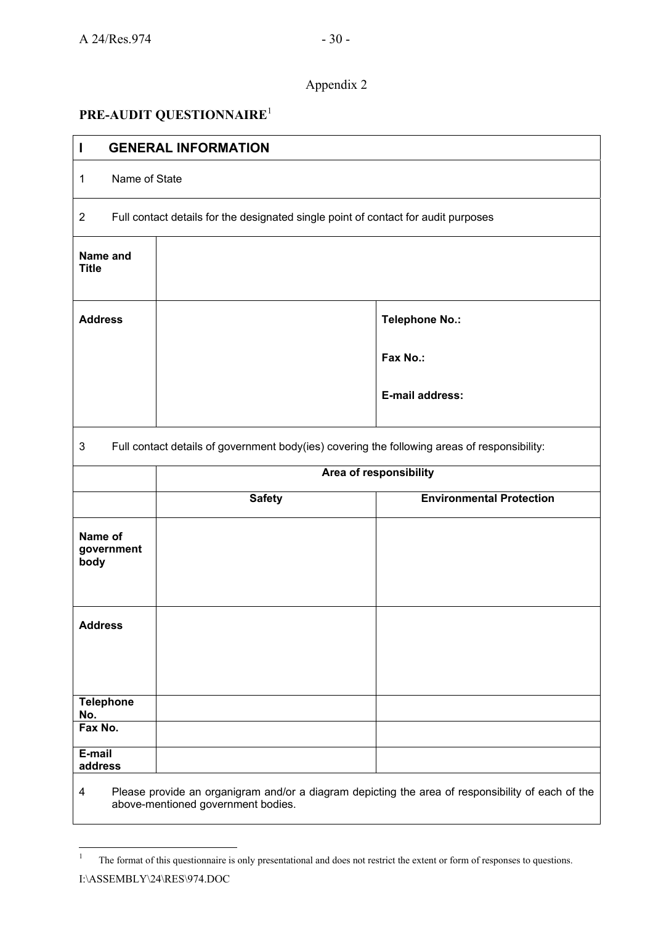## Appendix 2

# **PRE-AUDIT QUESTIONNAIRE**<sup>1</sup>

| $\mathbf{I}$                  | <b>GENERAL INFORMATION</b>                                                                   |                                                                                                   |
|-------------------------------|----------------------------------------------------------------------------------------------|---------------------------------------------------------------------------------------------------|
| Name of State<br>$\mathbf{1}$ |                                                                                              |                                                                                                   |
| $\overline{2}$                | Full contact details for the designated single point of contact for audit purposes           |                                                                                                   |
| Name and<br><b>Title</b>      |                                                                                              |                                                                                                   |
| <b>Address</b>                |                                                                                              | Telephone No.:                                                                                    |
|                               |                                                                                              | Fax No.:                                                                                          |
|                               |                                                                                              | E-mail address:                                                                                   |
| $\mathsf 3$                   | Full contact details of government body(ies) covering the following areas of responsibility: |                                                                                                   |
|                               |                                                                                              | Area of responsibility                                                                            |
|                               | <b>Safety</b>                                                                                | <b>Environmental Protection</b>                                                                   |
| Name of<br>government<br>body |                                                                                              |                                                                                                   |
| <b>Address</b>                |                                                                                              |                                                                                                   |
| <b>Telephone</b>              |                                                                                              |                                                                                                   |
| No.<br>Fax No.                |                                                                                              |                                                                                                   |
| E-mail<br>address             |                                                                                              | Places provide an erganizary and/er a diagram depicting the area of responsibility of each of the |

Please provide an organigram and/or a diagram depicting the area of responsibility of each of the above-mentioned government bodies.

 $\frac{1}{1}$ The format of this questionnaire is only presentational and does not restrict the extent or form of responses to questions.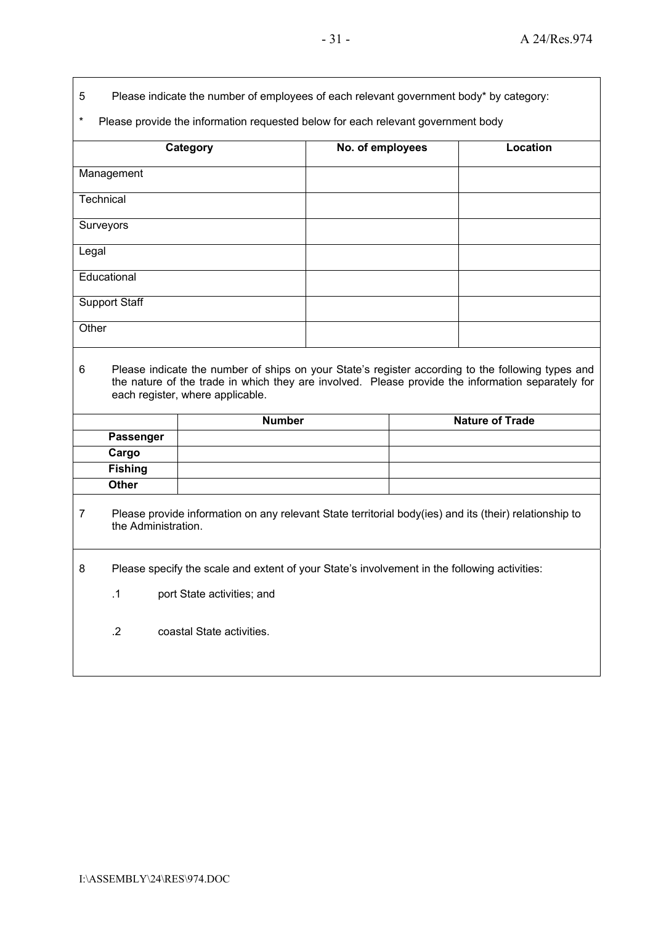- 5 Please indicate the number of employees of each relevant government body\* by category:
- \* Please provide the information requested below for each relevant government body

| <b>Category</b>      | No. of employees | Location |
|----------------------|------------------|----------|
| Management           |                  |          |
| Technical            |                  |          |
| Surveyors            |                  |          |
| Legal                |                  |          |
| Educational          |                  |          |
| <b>Support Staff</b> |                  |          |
| Other                |                  |          |
|                      |                  |          |

6 Please indicate the number of ships on your Stateís register according to the following types and the nature of the trade in which they are involved. Please provide the information separately for each register, where applicable.

|                  | <b>Number</b> | <b>Nature of Trade</b> |
|------------------|---------------|------------------------|
| <b>Passenger</b> |               |                        |
| Cargo            |               |                        |
| <b>Fishing</b>   |               |                        |
| Other            |               |                        |

- 7 Please provide information on any relevant State territorial body(ies) and its (their) relationship to the Administration.
- 8 Please specify the scale and extent of your State's involvement in the following activities:
	- .1 port State activities; and
	- .2 coastal State activities.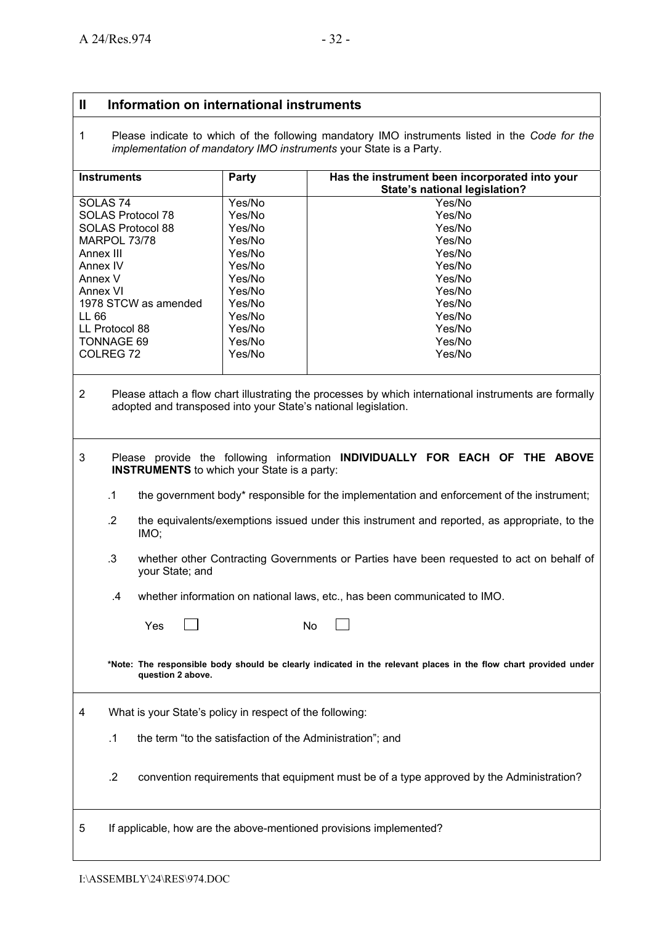#### **II Information on international instruments**

1 Please indicate to which of the following mandatory IMO instruments listed in the *Code for the implementation of mandatory IMO instruments* your State is a Party.

| <b>Instruments</b>   | Party  | Has the instrument been incorporated into your<br>State's national legislation? |
|----------------------|--------|---------------------------------------------------------------------------------|
| SOLAS <sub>74</sub>  | Yes/No | Yes/No                                                                          |
| SOLAS Protocol 78    | Yes/No | Yes/No                                                                          |
| SOLAS Protocol 88    | Yes/No | Yes/No                                                                          |
| MARPOL 73/78         | Yes/No | Yes/No                                                                          |
| Annex III            | Yes/No | Yes/No                                                                          |
| Annex IV             | Yes/No | Yes/No                                                                          |
| Annex V              | Yes/No | Yes/No                                                                          |
| Annex VI             | Yes/No | Yes/No                                                                          |
| 1978 STCW as amended | Yes/No | Yes/No                                                                          |
| LL 66                | Yes/No | Yes/No                                                                          |
| LL Protocol 88       | Yes/No | Yes/No                                                                          |
| TONNAGE 69           | Yes/No | Yes/No                                                                          |
| COLREG <sub>72</sub> | Yes/No | Yes/No                                                                          |

- 2 Please attach a flow chart illustrating the processes by which international instruments are formally adopted and transposed into your State's national legislation.
- 3 Please provide the following information **INDIVIDUALLY FOR EACH OF THE ABOVE INSTRUMENTS** to which your State is a party:
	- .1 the government body\* responsible for the implementation and enforcement of the instrument;
	- .2 the equivalents/exemptions issued under this instrument and reported, as appropriate, to the IMO;
	- .3 whether other Contracting Governments or Parties have been requested to act on behalf of your State; and

.4 whether information on national laws, etc., has been communicated to IMO.

|   |            | Yes                                                       | No |                                                                                                                 |
|---|------------|-----------------------------------------------------------|----|-----------------------------------------------------------------------------------------------------------------|
|   |            | question 2 above.                                         |    | *Note: The responsible body should be clearly indicated in the relevant places in the flow chart provided under |
| 4 |            | What is your State's policy in respect of the following:  |    |                                                                                                                 |
|   | $\cdot$ 1  | the term "to the satisfaction of the Administration"; and |    |                                                                                                                 |
|   | $\cdot$ .2 |                                                           |    | convention requirements that equipment must be of a type approved by the Administration?                        |

5 If applicable, how are the above-mentioned provisions implemented?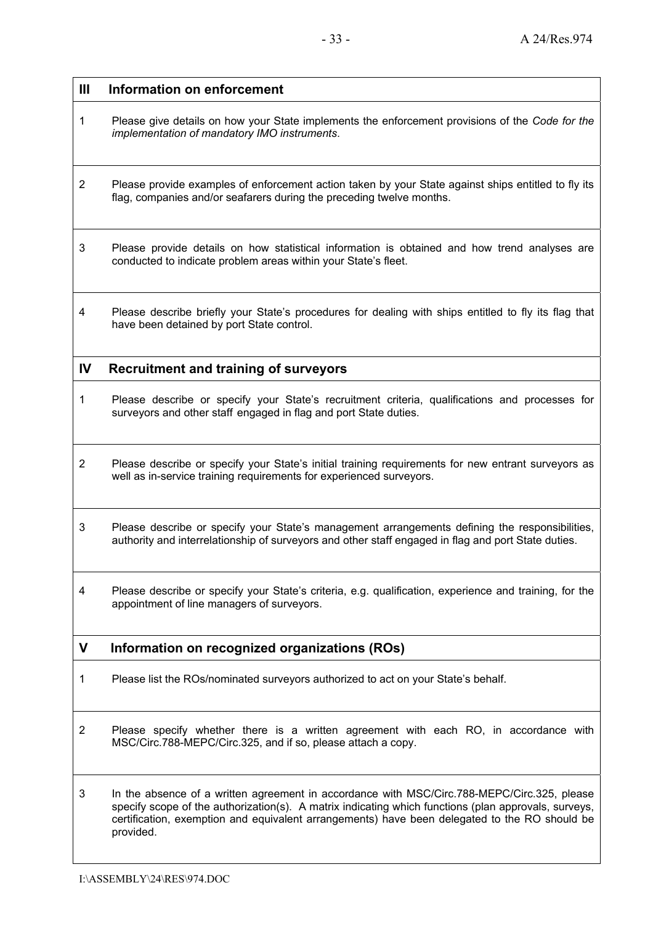| $\mathbf{III}$ | Information on enforcement                                                                                                                                                                                                                                                                                        |
|----------------|-------------------------------------------------------------------------------------------------------------------------------------------------------------------------------------------------------------------------------------------------------------------------------------------------------------------|
| 1              | Please give details on how your State implements the enforcement provisions of the Code for the<br>implementation of mandatory IMO instruments.                                                                                                                                                                   |
| 2              | Please provide examples of enforcement action taken by your State against ships entitled to fly its<br>flag, companies and/or seafarers during the preceding twelve months.                                                                                                                                       |
| 3              | Please provide details on how statistical information is obtained and how trend analyses are<br>conducted to indicate problem areas within your State's fleet.                                                                                                                                                    |
| 4              | Please describe briefly your State's procedures for dealing with ships entitled to fly its flag that<br>have been detained by port State control.                                                                                                                                                                 |
| $\mathbf{I}$   | <b>Recruitment and training of surveyors</b>                                                                                                                                                                                                                                                                      |
| 1              | Please describe or specify your State's recruitment criteria, qualifications and processes for<br>surveyors and other staff engaged in flag and port State duties.                                                                                                                                                |
| $\overline{c}$ | Please describe or specify your State's initial training requirements for new entrant surveyors as<br>well as in-service training requirements for experienced surveyors.                                                                                                                                         |
| 3              | Please describe or specify your State's management arrangements defining the responsibilities,<br>authority and interrelationship of surveyors and other staff engaged in flag and port State duties.                                                                                                             |
| 4              | Please describe or specify your State's criteria, e.g. qualification, experience and training, for the<br>appointment of line managers of surveyors.                                                                                                                                                              |
| V              | Information on recognized organizations (ROs)                                                                                                                                                                                                                                                                     |
| 1              | Please list the ROs/nominated surveyors authorized to act on your State's behalf.                                                                                                                                                                                                                                 |
| 2              | Please specify whether there is a written agreement with each RO, in accordance with<br>MSC/Circ.788-MEPC/Circ.325, and if so, please attach a copy.                                                                                                                                                              |
| 3              | In the absence of a written agreement in accordance with MSC/Circ.788-MEPC/Circ.325, please<br>specify scope of the authorization(s). A matrix indicating which functions (plan approvals, surveys,<br>certification, exemption and equivalent arrangements) have been delegated to the RO should be<br>provided. |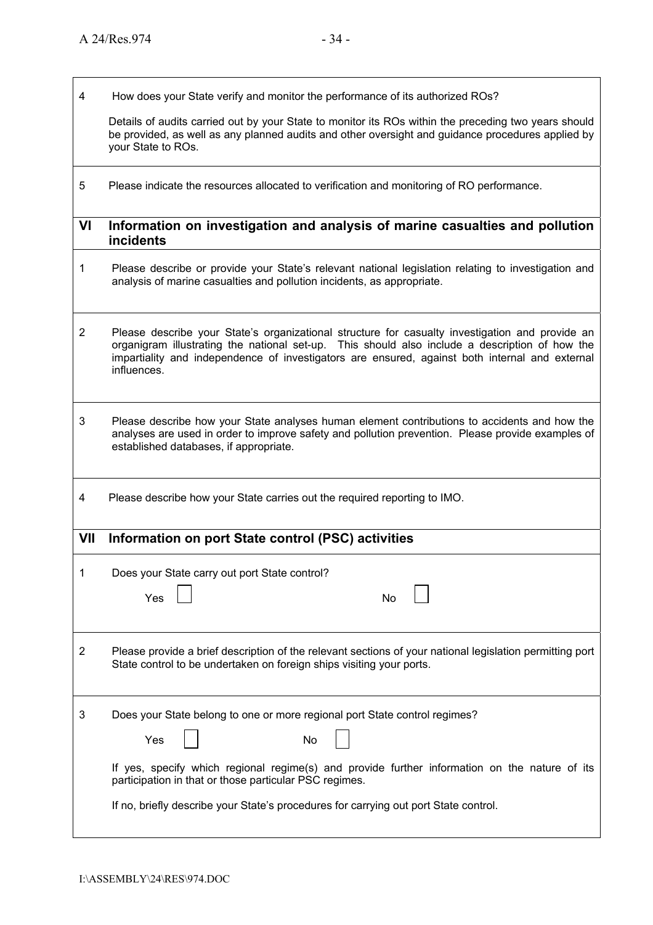4 How does your State verify and monitor the performance of its authorized ROs?

 Details of audits carried out by your State to monitor its ROs within the preceding two years should be provided, as well as any planned audits and other oversight and guidance procedures applied by your State to ROs.

5 Please indicate the resources allocated to verification and monitoring of RO performance.

#### **VI Information on investigation and analysis of marine casualties and pollution incidents**

- 1 Please describe or provide your State's relevant national legislation relating to investigation and analysis of marine casualties and pollution incidents, as appropriate.
- 2 Please describe your Stateís organizational structure for casualty investigation and provide an organigram illustrating the national set-up. This should also include a description of how the impartiality and independence of investigators are ensured, against both internal and external influences.
- 3 Please describe how your State analyses human element contributions to accidents and how the analyses are used in order to improve safety and pollution prevention. Please provide examples of established databases, if appropriate.
- 4 Please describe how your State carries out the required reporting to IMO.

## **VII Information on port State control (PSC) activities**

|   | Does your State carry out port State control?<br>Yes<br>No                                                                                                                                                                                                                                                                                 |
|---|--------------------------------------------------------------------------------------------------------------------------------------------------------------------------------------------------------------------------------------------------------------------------------------------------------------------------------------------|
| 2 | Please provide a brief description of the relevant sections of your national legislation permitting port<br>State control to be undertaken on foreign ships visiting your ports.                                                                                                                                                           |
| 3 | Does your State belong to one or more regional port State control regimes?<br>Yes<br>No<br>If yes, specify which regional regime(s) and provide further information on the nature of its<br>participation in that or those particular PSC regimes.<br>If no, briefly describe your State's procedures for carrying out port State control. |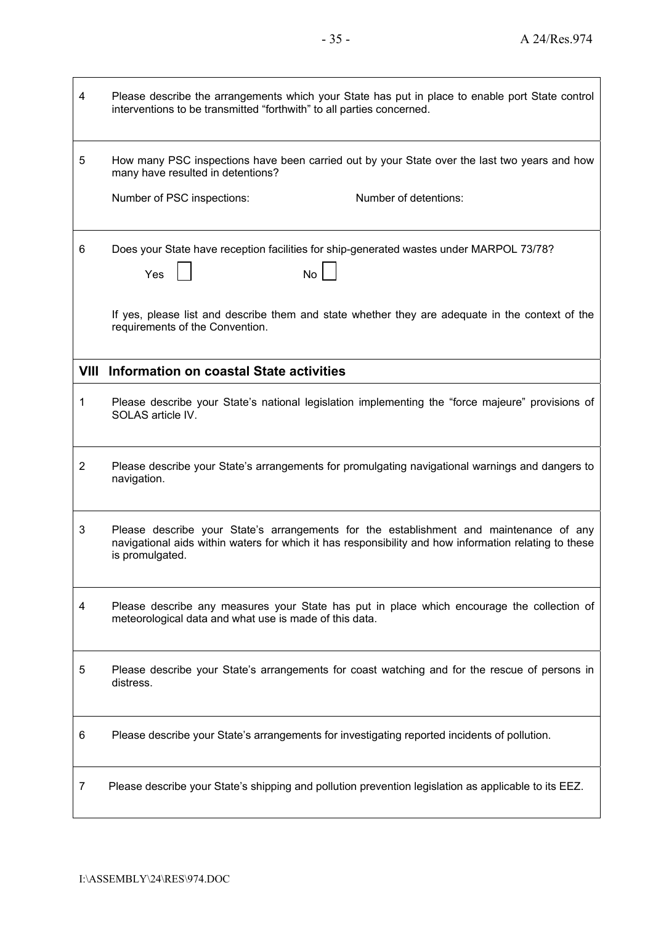| 4              | Please describe the arrangements which your State has put in place to enable port State control<br>interventions to be transmitted "forthwith" to all parties concerned.                                           |
|----------------|--------------------------------------------------------------------------------------------------------------------------------------------------------------------------------------------------------------------|
| 5              | How many PSC inspections have been carried out by your State over the last two years and how<br>many have resulted in detentions?                                                                                  |
|                | Number of PSC inspections:<br>Number of detentions:                                                                                                                                                                |
| 6              | Does your State have reception facilities for ship-generated wastes under MARPOL 73/78?<br><b>No</b><br>Yes                                                                                                        |
|                | If yes, please list and describe them and state whether they are adequate in the context of the<br>requirements of the Convention.                                                                                 |
| VIII           | Information on coastal State activities                                                                                                                                                                            |
| 1              | Please describe your State's national legislation implementing the "force majeure" provisions of<br>SOLAS article IV.                                                                                              |
| $\overline{2}$ | Please describe your State's arrangements for promulgating navigational warnings and dangers to<br>navigation.                                                                                                     |
| 3              | Please describe your State's arrangements for the establishment and maintenance of any<br>navigational aids within waters for which it has responsibility and how information relating to these<br>is promulgated. |
| 4              | Please describe any measures your State has put in place which encourage the collection of<br>meteorological data and what use is made of this data.                                                               |
| 5              | Please describe your State's arrangements for coast watching and for the rescue of persons in<br>distress.                                                                                                         |
| 6              | Please describe your State's arrangements for investigating reported incidents of pollution.                                                                                                                       |
| $\overline{7}$ | Please describe your State's shipping and pollution prevention legislation as applicable to its EEZ.                                                                                                               |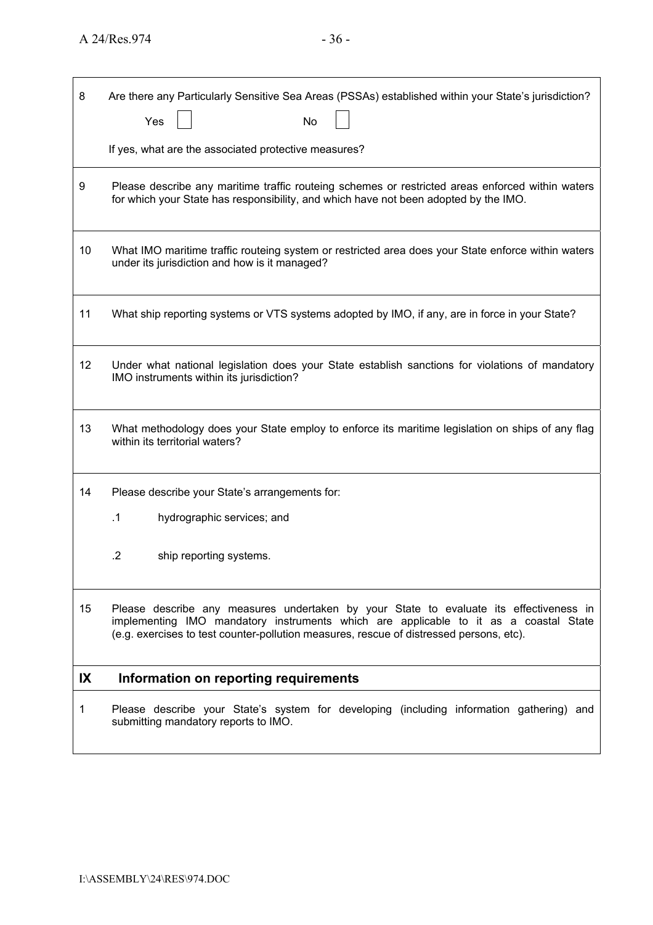| 8  | Are there any Particularly Sensitive Sea Areas (PSSAs) established within your State's jurisdiction?<br>Yes<br>No                                                                                                                                                         |
|----|---------------------------------------------------------------------------------------------------------------------------------------------------------------------------------------------------------------------------------------------------------------------------|
|    | If yes, what are the associated protective measures?                                                                                                                                                                                                                      |
| 9  | Please describe any maritime traffic routeing schemes or restricted areas enforced within waters<br>for which your State has responsibility, and which have not been adopted by the IMO.                                                                                  |
| 10 | What IMO maritime traffic routeing system or restricted area does your State enforce within waters<br>under its jurisdiction and how is it managed?                                                                                                                       |
| 11 | What ship reporting systems or VTS systems adopted by IMO, if any, are in force in your State?                                                                                                                                                                            |
| 12 | Under what national legislation does your State establish sanctions for violations of mandatory<br>IMO instruments within its jurisdiction?                                                                                                                               |
| 13 | What methodology does your State employ to enforce its maritime legislation on ships of any flag<br>within its territorial waters?                                                                                                                                        |
| 14 | Please describe your State's arrangements for:                                                                                                                                                                                                                            |
|    | $\cdot$ 1<br>hydrographic services; and                                                                                                                                                                                                                                   |
|    | $\cdot$<br>ship reporting systems.                                                                                                                                                                                                                                        |
| 15 | Please describe any measures undertaken by your State to evaluate its effectiveness in<br>implementing IMO mandatory instruments which are applicable to it as a coastal State<br>(e.g. exercises to test counter-pollution measures, rescue of distressed persons, etc). |
| IX | Information on reporting requirements                                                                                                                                                                                                                                     |
| 1  | Please describe your State's system for developing (including information gathering) and<br>submitting mandatory reports to IMO.                                                                                                                                          |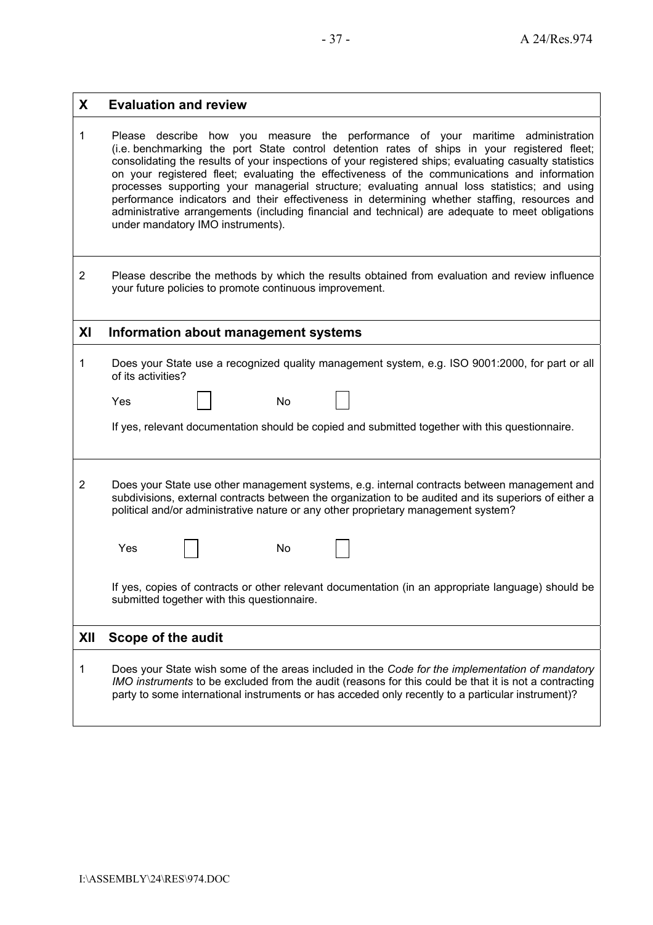| X              | <b>Evaluation and review</b>                                                                                                                                                                                                                                                                                                                                                                                                                                                                                                                                                                                                                                                                                                        |
|----------------|-------------------------------------------------------------------------------------------------------------------------------------------------------------------------------------------------------------------------------------------------------------------------------------------------------------------------------------------------------------------------------------------------------------------------------------------------------------------------------------------------------------------------------------------------------------------------------------------------------------------------------------------------------------------------------------------------------------------------------------|
| 1              | Please describe how you measure the performance of your maritime administration<br>(i.e. benchmarking the port State control detention rates of ships in your registered fleet;<br>consolidating the results of your inspections of your registered ships; evaluating casualty statistics<br>on your registered fleet; evaluating the effectiveness of the communications and information<br>processes supporting your managerial structure; evaluating annual loss statistics; and using<br>performance indicators and their effectiveness in determining whether staffing, resources and<br>administrative arrangements (including financial and technical) are adequate to meet obligations<br>under mandatory IMO instruments). |
| $\overline{2}$ | Please describe the methods by which the results obtained from evaluation and review influence<br>your future policies to promote continuous improvement.                                                                                                                                                                                                                                                                                                                                                                                                                                                                                                                                                                           |
| XI             | Information about management systems                                                                                                                                                                                                                                                                                                                                                                                                                                                                                                                                                                                                                                                                                                |
| 1              | Does your State use a recognized quality management system, e.g. ISO 9001:2000, for part or all<br>of its activities?<br>Yes<br>No<br>If yes, relevant documentation should be copied and submitted together with this questionnaire.                                                                                                                                                                                                                                                                                                                                                                                                                                                                                               |
| $\overline{c}$ | Does your State use other management systems, e.g. internal contracts between management and<br>subdivisions, external contracts between the organization to be audited and its superiors of either a<br>political and/or administrative nature or any other proprietary management system?<br>Yes<br>No<br>If yes, copies of contracts or other relevant documentation (in an appropriate language) should be<br>submitted together with this questionnaire.                                                                                                                                                                                                                                                                       |
| XII            | Scope of the audit                                                                                                                                                                                                                                                                                                                                                                                                                                                                                                                                                                                                                                                                                                                  |
| 1              | Does your State wish some of the areas included in the Code for the implementation of mandatory<br>IMO instruments to be excluded from the audit (reasons for this could be that it is not a contracting<br>party to some international instruments or has acceded only recently to a particular instrument)?                                                                                                                                                                                                                                                                                                                                                                                                                       |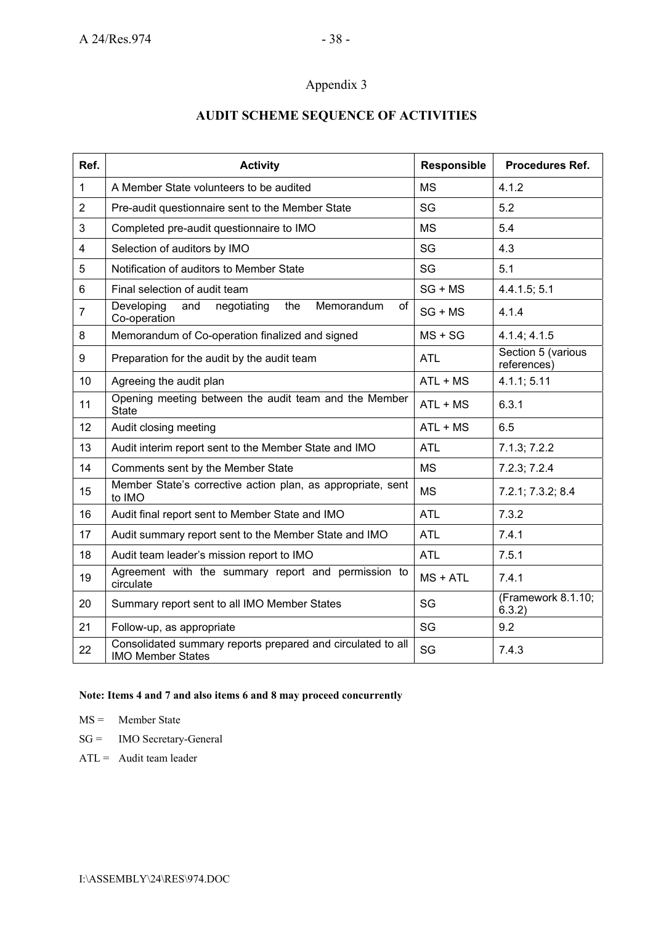## Appendix 3

## **AUDIT SCHEME SEQUENCE OF ACTIVITIES**

| Ref.           | <b>Activity</b>                                                                         | Responsible | <b>Procedures Ref.</b>            |
|----------------|-----------------------------------------------------------------------------------------|-------------|-----------------------------------|
| 1              | A Member State volunteers to be audited                                                 | <b>MS</b>   | 4.1.2                             |
| $\overline{2}$ | Pre-audit questionnaire sent to the Member State                                        | SG          | 5.2                               |
| 3              | Completed pre-audit questionnaire to IMO                                                | <b>MS</b>   | 5.4                               |
| 4              | Selection of auditors by IMO                                                            | SG          | 4.3                               |
| 5              | Notification of auditors to Member State                                                | SG          | 5.1                               |
| 6              | Final selection of audit team                                                           | $SG + MS$   | 4.4.1.5; 5.1                      |
| $\overline{7}$ | Developing<br>Memorandum<br>and<br>negotiating<br>the<br>of<br>Co-operation             | $SG + MS$   | 4.1.4                             |
| 8              | Memorandum of Co-operation finalized and signed                                         | $MS + SG$   | 4.1.4; 4.1.5                      |
| 9              | Preparation for the audit by the audit team                                             | <b>ATL</b>  | Section 5 (various<br>references) |
| 10             | Agreeing the audit plan                                                                 | $ATL + MS$  | 4.1.1; 5.11                       |
| 11             | Opening meeting between the audit team and the Member<br><b>State</b>                   | $ATL + MS$  | 6.3.1                             |
| 12             | Audit closing meeting                                                                   | $ATL + MS$  | 6.5                               |
| 13             | Audit interim report sent to the Member State and IMO                                   | <b>ATL</b>  | 7.1.3; 7.2.2                      |
| 14             | Comments sent by the Member State                                                       | <b>MS</b>   | 7.2.3; 7.2.4                      |
| 15             | Member State's corrective action plan, as appropriate, sent<br>to IMO                   | <b>MS</b>   | 7.2.1; 7.3.2; 8.4                 |
| 16             | Audit final report sent to Member State and IMO                                         | <b>ATL</b>  | 7.3.2                             |
| 17             | Audit summary report sent to the Member State and IMO                                   | <b>ATL</b>  | 7.4.1                             |
| 18             | Audit team leader's mission report to IMO                                               | <b>ATL</b>  | 7.5.1                             |
| 19             | Agreement with the summary report and permission to<br>circulate                        | $MS + ATL$  | 7.4.1                             |
| 20             | Summary report sent to all IMO Member States                                            | SG          | (Framework 8.1.10;<br>6.3.2)      |
| 21             | Follow-up, as appropriate                                                               | SG          | 9.2                               |
| 22             | Consolidated summary reports prepared and circulated to all<br><b>IMO Member States</b> | SG          | 7.4.3                             |

#### **Note: Items 4 and 7 and also items 6 and 8 may proceed concurrently**

- MS = Member State
- SG = IMO Secretary-General
- $ATL =$  Audit team leader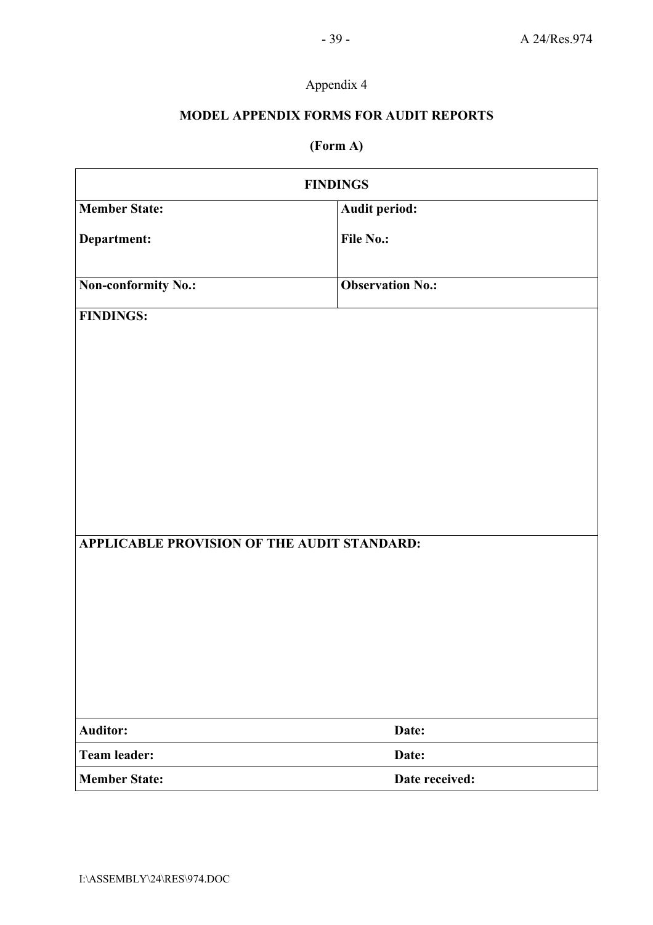# Appendix 4

## **MODEL APPENDIX FORMS FOR AUDIT REPORTS**

# **(Form A)**

| <b>FINDINGS</b>                                                 |                         |  |  |
|-----------------------------------------------------------------|-------------------------|--|--|
| <b>Member State:</b>                                            | Audit period:           |  |  |
| Department:                                                     | File No.:               |  |  |
| <b>Non-conformity No.:</b>                                      | <b>Observation No.:</b> |  |  |
| <b>FINDINGS:</b><br>APPLICABLE PROVISION OF THE AUDIT STANDARD: |                         |  |  |
|                                                                 |                         |  |  |
| <b>Auditor:</b>                                                 | Date:                   |  |  |
| <b>Team leader:</b>                                             | Date:                   |  |  |
| <b>Member State:</b>                                            | Date received:          |  |  |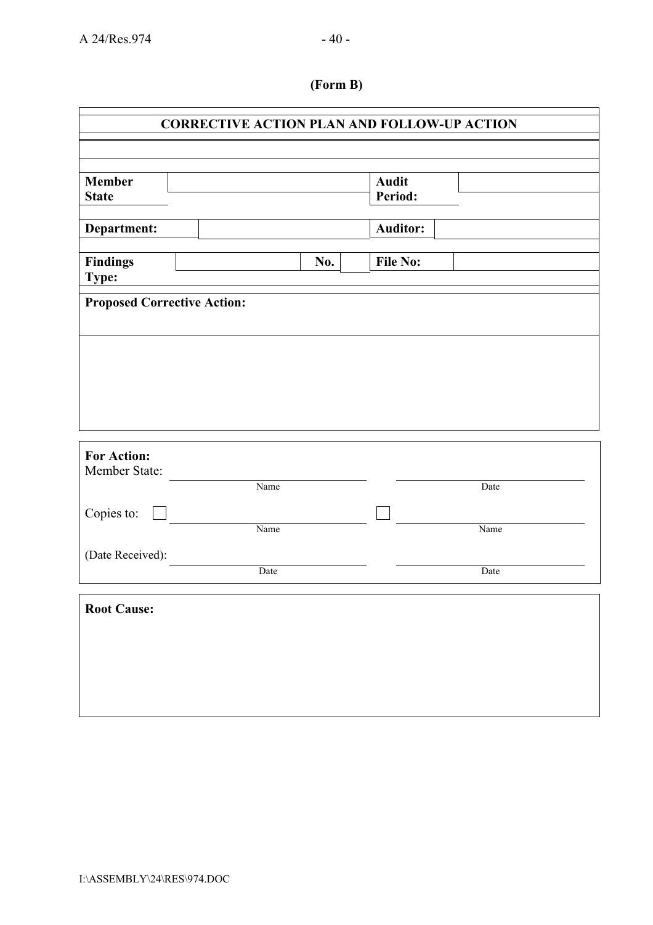$\mathbf{r}$ 

# **(Form B)**

H.

| <b>Auditor:</b><br>Department:<br><b>File No:</b><br>No.<br>Name<br>Date<br>Name<br>Name<br>Date<br>Date | <b>Member</b><br><b>State</b>                                         |  | <b>Audit</b><br>Period: |  |
|----------------------------------------------------------------------------------------------------------|-----------------------------------------------------------------------|--|-------------------------|--|
|                                                                                                          |                                                                       |  |                         |  |
| <b>Proposed Corrective Action:</b>                                                                       | <b>Findings</b><br>Type:                                              |  |                         |  |
|                                                                                                          |                                                                       |  |                         |  |
|                                                                                                          |                                                                       |  |                         |  |
|                                                                                                          |                                                                       |  |                         |  |
|                                                                                                          |                                                                       |  |                         |  |
|                                                                                                          |                                                                       |  |                         |  |
|                                                                                                          |                                                                       |  |                         |  |
|                                                                                                          |                                                                       |  |                         |  |
|                                                                                                          |                                                                       |  |                         |  |
|                                                                                                          |                                                                       |  |                         |  |
|                                                                                                          |                                                                       |  |                         |  |
|                                                                                                          | <b>For Action:</b><br>Member State:<br>Copies to:<br>(Date Received): |  |                         |  |
|                                                                                                          | <b>Root Cause:</b>                                                    |  |                         |  |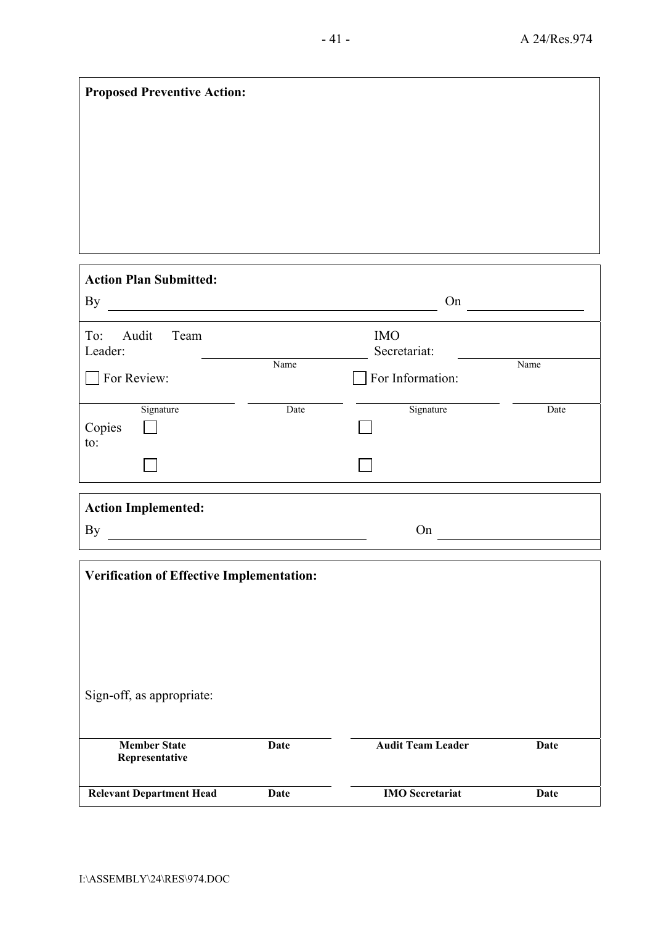| <b>Proposed Preventive Action:</b>                                                                                                |             |                            |             |  |
|-----------------------------------------------------------------------------------------------------------------------------------|-------------|----------------------------|-------------|--|
|                                                                                                                                   |             |                            |             |  |
|                                                                                                                                   |             |                            |             |  |
|                                                                                                                                   |             |                            |             |  |
|                                                                                                                                   |             |                            |             |  |
|                                                                                                                                   |             |                            |             |  |
|                                                                                                                                   |             |                            |             |  |
| <b>Action Plan Submitted:</b><br>By                                                                                               |             | On                         |             |  |
|                                                                                                                                   |             |                            |             |  |
| To:<br>Audit<br>Team<br>Leader:                                                                                                   |             | <b>IMO</b><br>Secretariat: |             |  |
| For Review:                                                                                                                       | Name        | For Information:           | Name        |  |
|                                                                                                                                   |             |                            |             |  |
| Signature<br>Copies                                                                                                               | Date        | Signature                  | Date        |  |
| to:                                                                                                                               |             |                            |             |  |
|                                                                                                                                   |             |                            |             |  |
| <b>Action Implemented:</b>                                                                                                        |             |                            |             |  |
| <b>By</b><br><u> 1989 - Johann Barbara, martin amerikan basar dan basa dan basar dalam basa dalam basa dalam basa dalam basa </u> |             | On                         |             |  |
|                                                                                                                                   |             |                            |             |  |
| <b>Verification of Effective Implementation:</b>                                                                                  |             |                            |             |  |
|                                                                                                                                   |             |                            |             |  |
|                                                                                                                                   |             |                            |             |  |
|                                                                                                                                   |             |                            |             |  |
| Sign-off, as appropriate:                                                                                                         |             |                            |             |  |
|                                                                                                                                   |             |                            |             |  |
| <b>Member State</b><br>Representative                                                                                             | <b>Date</b> | <b>Audit Team Leader</b>   | <b>Date</b> |  |
| <b>Relevant Department Head</b>                                                                                                   | <b>Date</b> | <b>IMO</b> Secretariat     | <b>Date</b> |  |